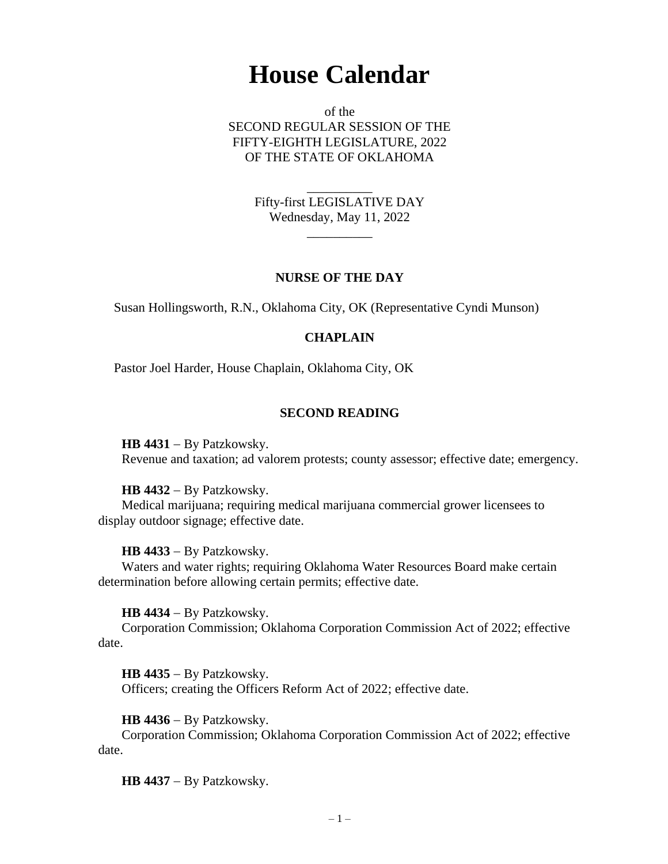# **House Calendar**

of the SECOND REGULAR SESSION OF THE FIFTY-EIGHTH LEGISLATURE, 2022 OF THE STATE OF OKLAHOMA

> \_\_\_\_\_\_\_\_\_\_ Fifty-first LEGISLATIVE DAY Wednesday, May 11, 2022

> > $\overline{\phantom{a}}$

### **NURSE OF THE DAY**

Susan Hollingsworth, R.N., Oklahoma City, OK (Representative Cyndi Munson)

## **CHAPLAIN**

Pastor Joel Harder, House Chaplain, Oklahoma City, OK

### **SECOND READING**

**HB 4431** − By Patzkowsky. Revenue and taxation; ad valorem protests; county assessor; effective date; emergency.

#### **HB 4432** − By Patzkowsky.

Medical marijuana; requiring medical marijuana commercial grower licensees to display outdoor signage; effective date.

### **HB 4433** − By Patzkowsky.

Waters and water rights; requiring Oklahoma Water Resources Board make certain determination before allowing certain permits; effective date.

**HB 4434** − By Patzkowsky.

Corporation Commission; Oklahoma Corporation Commission Act of 2022; effective date.

**HB 4435** − By Patzkowsky. Officers; creating the Officers Reform Act of 2022; effective date.

**HB 4436** − By Patzkowsky.

Corporation Commission; Oklahoma Corporation Commission Act of 2022; effective date.

**HB 4437** − By Patzkowsky.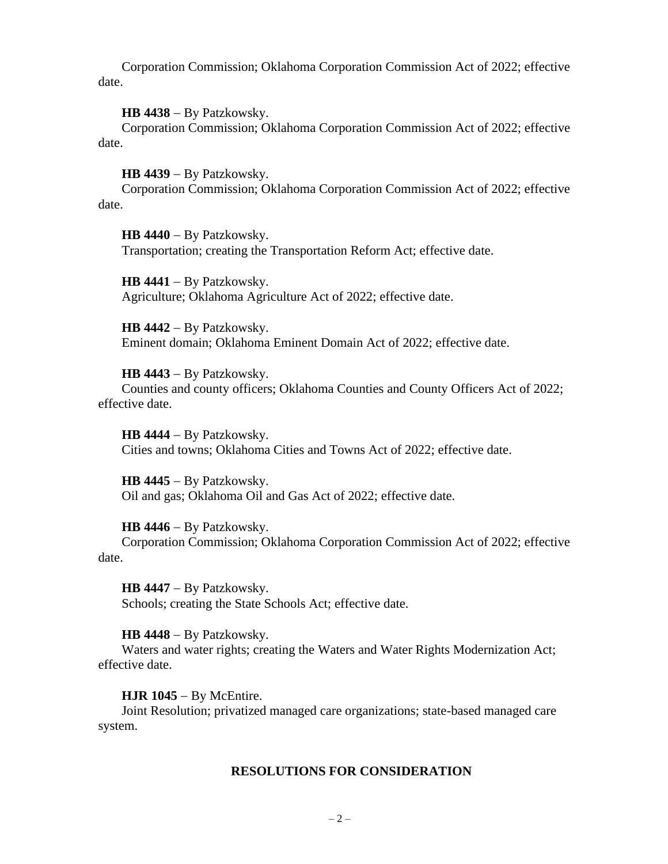Corporation Commission; Oklahoma Corporation Commission Act of 2022; effective date.

**HB 4438** − By Patzkowsky.

Corporation Commission; Oklahoma Corporation Commission Act of 2022; effective date.

**HB 4439** − By Patzkowsky.

Corporation Commission; Oklahoma Corporation Commission Act of 2022; effective date.

**HB 4440** − By Patzkowsky. Transportation; creating the Transportation Reform Act; effective date.

**HB 4441** − By Patzkowsky. Agriculture; Oklahoma Agriculture Act of 2022; effective date.

**HB 4442** − By Patzkowsky. Eminent domain; Oklahoma Eminent Domain Act of 2022; effective date.

**HB 4443** − By Patzkowsky. Counties and county officers; Oklahoma Counties and County Officers Act of 2022; effective date.

**HB 4444** − By Patzkowsky. Cities and towns; Oklahoma Cities and Towns Act of 2022; effective date.

**HB 4445** − By Patzkowsky. Oil and gas; Oklahoma Oil and Gas Act of 2022; effective date.

**HB 4446** − By Patzkowsky.

Corporation Commission; Oklahoma Corporation Commission Act of 2022; effective date.

**HB 4447** − By Patzkowsky. Schools; creating the State Schools Act; effective date.

**HB 4448** − By Patzkowsky.

Waters and water rights; creating the Waters and Water Rights Modernization Act; effective date.

**HJR 1045** − By McEntire.

Joint Resolution; privatized managed care organizations; state-based managed care system.

### **RESOLUTIONS FOR CONSIDERATION**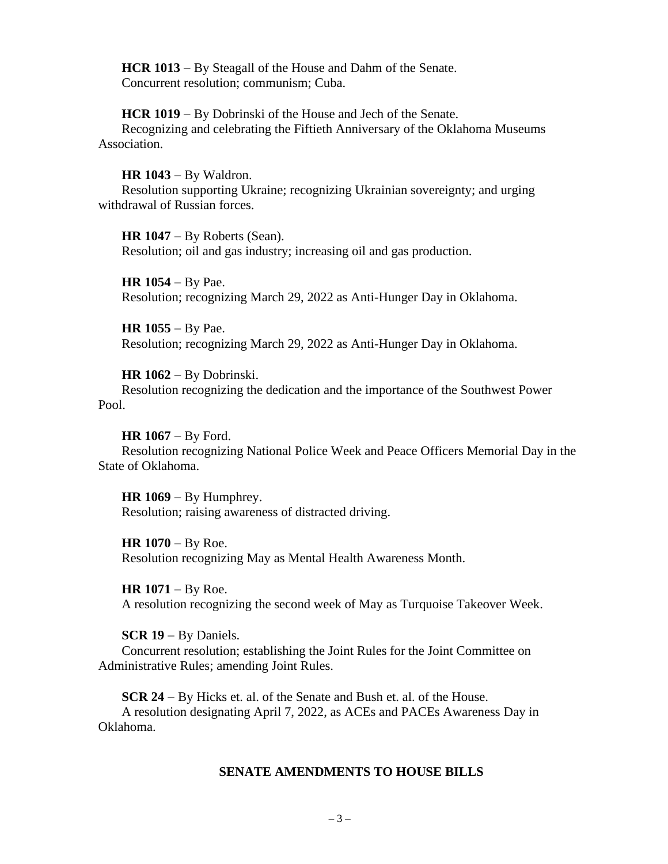**HCR 1013** − By Steagall of the House and Dahm of the Senate. Concurrent resolution; communism; Cuba.

**HCR 1019** − By Dobrinski of the House and Jech of the Senate. Recognizing and celebrating the Fiftieth Anniversary of the Oklahoma Museums Association.

**HR 1043** − By Waldron. Resolution supporting Ukraine; recognizing Ukrainian sovereignty; and urging withdrawal of Russian forces.

**HR 1047** − By Roberts (Sean). Resolution; oil and gas industry; increasing oil and gas production.

**HR 1054** − By Pae. Resolution; recognizing March 29, 2022 as Anti-Hunger Day in Oklahoma.

**HR 1055** − By Pae. Resolution; recognizing March 29, 2022 as Anti-Hunger Day in Oklahoma.

**HR 1062** − By Dobrinski. Resolution recognizing the dedication and the importance of the Southwest Power Pool.

**HR 1067** − By Ford. Resolution recognizing National Police Week and Peace Officers Memorial Day in the State of Oklahoma.

**HR 1069** − By Humphrey. Resolution; raising awareness of distracted driving.

HR 1070 − By Roe. Resolution recognizing May as Mental Health Awareness Month.

HR 1071 – By Roe. A resolution recognizing the second week of May as Turquoise Takeover Week.

**SCR 19** − By Daniels.

Concurrent resolution; establishing the Joint Rules for the Joint Committee on Administrative Rules; amending Joint Rules.

**SCR 24** − By Hicks et. al. of the Senate and Bush et. al. of the House. A resolution designating April 7, 2022, as ACEs and PACEs Awareness Day in Oklahoma.

# **SENATE AMENDMENTS TO HOUSE BILLS**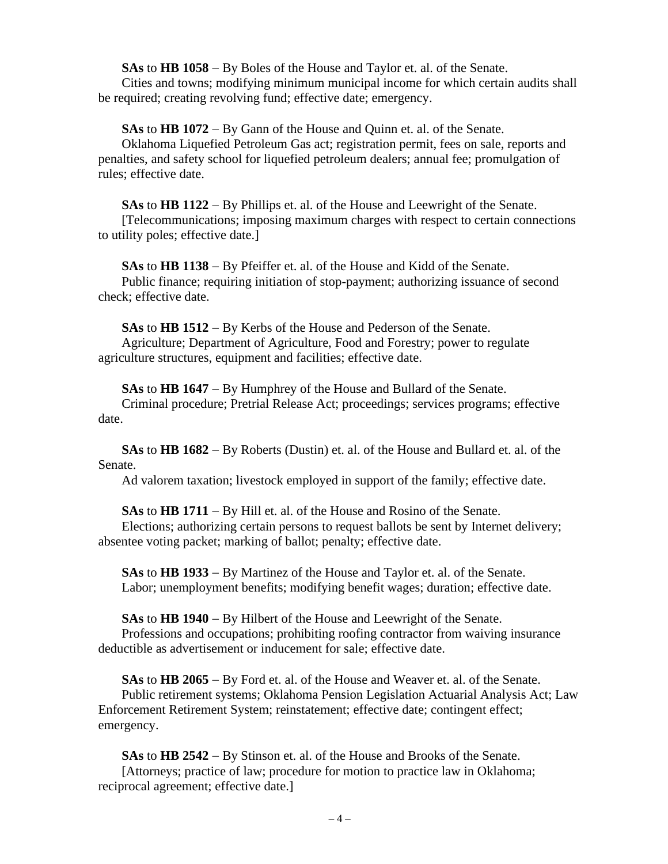**SAs** to **HB 1058** − By Boles of the House and Taylor et. al. of the Senate.

Cities and towns; modifying minimum municipal income for which certain audits shall be required; creating revolving fund; effective date; emergency.

**SAs** to **HB 1072** − By Gann of the House and Quinn et. al. of the Senate.

Oklahoma Liquefied Petroleum Gas act; registration permit, fees on sale, reports and penalties, and safety school for liquefied petroleum dealers; annual fee; promulgation of rules; effective date.

**SAs** to **HB 1122** − By Phillips et. al. of the House and Leewright of the Senate. [Telecommunications; imposing maximum charges with respect to certain connections to utility poles; effective date.]

**SAs** to **HB 1138** − By Pfeiffer et. al. of the House and Kidd of the Senate. Public finance; requiring initiation of stop-payment; authorizing issuance of second check; effective date.

**SAs** to **HB 1512** − By Kerbs of the House and Pederson of the Senate. Agriculture; Department of Agriculture, Food and Forestry; power to regulate agriculture structures, equipment and facilities; effective date.

**SAs** to **HB 1647** − By Humphrey of the House and Bullard of the Senate. Criminal procedure; Pretrial Release Act; proceedings; services programs; effective date.

**SAs** to **HB 1682** − By Roberts (Dustin) et. al. of the House and Bullard et. al. of the Senate.

Ad valorem taxation; livestock employed in support of the family; effective date.

**SAs** to **HB 1711** − By Hill et. al. of the House and Rosino of the Senate.

Elections; authorizing certain persons to request ballots be sent by Internet delivery; absentee voting packet; marking of ballot; penalty; effective date.

**SAs** to **HB 1933** − By Martinez of the House and Taylor et. al. of the Senate. Labor; unemployment benefits; modifying benefit wages; duration; effective date.

**SAs** to **HB 1940** − By Hilbert of the House and Leewright of the Senate. Professions and occupations; prohibiting roofing contractor from waiving insurance deductible as advertisement or inducement for sale; effective date.

**SAs** to **HB 2065** − By Ford et. al. of the House and Weaver et. al. of the Senate. Public retirement systems; Oklahoma Pension Legislation Actuarial Analysis Act; Law Enforcement Retirement System; reinstatement; effective date; contingent effect; emergency.

**SAs** to **HB 2542** − By Stinson et. al. of the House and Brooks of the Senate. [Attorneys; practice of law; procedure for motion to practice law in Oklahoma; reciprocal agreement; effective date.]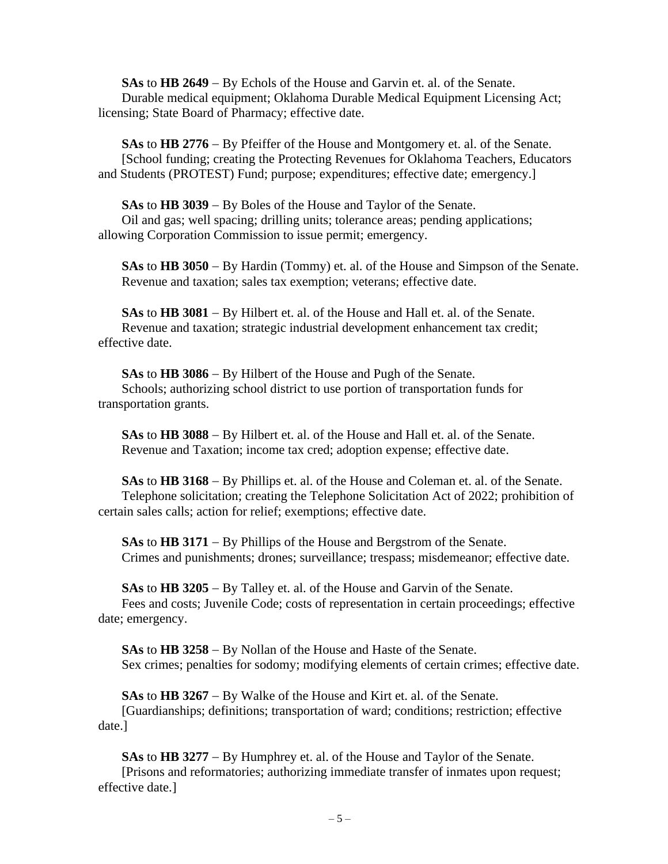**SAs** to **HB 2649** − By Echols of the House and Garvin et. al. of the Senate. Durable medical equipment; Oklahoma Durable Medical Equipment Licensing Act; licensing; State Board of Pharmacy; effective date.

**SAs** to **HB 2776** − By Pfeiffer of the House and Montgomery et. al. of the Senate. [School funding; creating the Protecting Revenues for Oklahoma Teachers, Educators and Students (PROTEST) Fund; purpose; expenditures; effective date; emergency.]

**SAs** to **HB 3039** − By Boles of the House and Taylor of the Senate. Oil and gas; well spacing; drilling units; tolerance areas; pending applications; allowing Corporation Commission to issue permit; emergency.

**SAs** to **HB 3050** − By Hardin (Tommy) et. al. of the House and Simpson of the Senate. Revenue and taxation; sales tax exemption; veterans; effective date.

**SAs** to **HB 3081** − By Hilbert et. al. of the House and Hall et. al. of the Senate. Revenue and taxation; strategic industrial development enhancement tax credit; effective date.

**SAs** to **HB 3086** − By Hilbert of the House and Pugh of the Senate. Schools; authorizing school district to use portion of transportation funds for transportation grants.

**SAs** to **HB 3088** − By Hilbert et. al. of the House and Hall et. al. of the Senate. Revenue and Taxation; income tax cred; adoption expense; effective date.

**SAs** to **HB 3168** − By Phillips et. al. of the House and Coleman et. al. of the Senate. Telephone solicitation; creating the Telephone Solicitation Act of 2022; prohibition of certain sales calls; action for relief; exemptions; effective date.

**SAs** to **HB 3171** − By Phillips of the House and Bergstrom of the Senate. Crimes and punishments; drones; surveillance; trespass; misdemeanor; effective date.

**SAs** to **HB 3205** − By Talley et. al. of the House and Garvin of the Senate. Fees and costs; Juvenile Code; costs of representation in certain proceedings; effective date; emergency.

**SAs** to **HB 3258** − By Nollan of the House and Haste of the Senate. Sex crimes; penalties for sodomy; modifying elements of certain crimes; effective date.

**SAs** to **HB 3267** − By Walke of the House and Kirt et. al. of the Senate. [Guardianships; definitions; transportation of ward; conditions; restriction; effective date.]

**SAs** to **HB 3277** − By Humphrey et. al. of the House and Taylor of the Senate. [Prisons and reformatories; authorizing immediate transfer of inmates upon request; effective date.]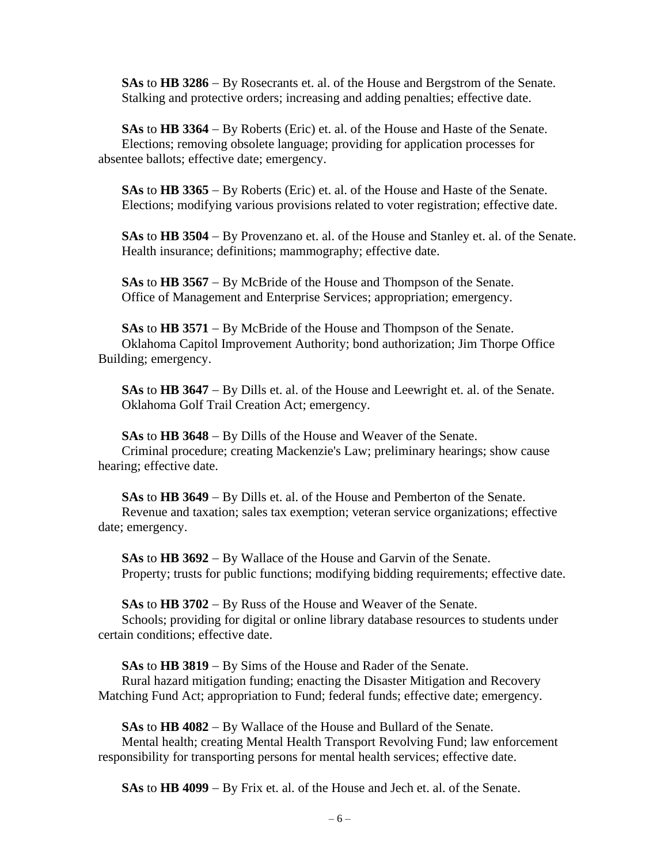**SAs** to **HB 3286** − By Rosecrants et. al. of the House and Bergstrom of the Senate. Stalking and protective orders; increasing and adding penalties; effective date.

**SAs** to **HB 3364** − By Roberts (Eric) et. al. of the House and Haste of the Senate. Elections; removing obsolete language; providing for application processes for absentee ballots; effective date; emergency.

**SAs** to **HB 3365** − By Roberts (Eric) et. al. of the House and Haste of the Senate. Elections; modifying various provisions related to voter registration; effective date.

**SAs** to **HB 3504** − By Provenzano et. al. of the House and Stanley et. al. of the Senate. Health insurance; definitions; mammography; effective date.

**SAs** to **HB 3567** − By McBride of the House and Thompson of the Senate. Office of Management and Enterprise Services; appropriation; emergency.

**SAs** to **HB 3571** − By McBride of the House and Thompson of the Senate. Oklahoma Capitol Improvement Authority; bond authorization; Jim Thorpe Office Building; emergency.

**SAs** to **HB 3647** − By Dills et. al. of the House and Leewright et. al. of the Senate. Oklahoma Golf Trail Creation Act; emergency.

**SAs** to **HB 3648** − By Dills of the House and Weaver of the Senate. Criminal procedure; creating Mackenzie's Law; preliminary hearings; show cause hearing; effective date.

**SAs** to **HB 3649** − By Dills et. al. of the House and Pemberton of the Senate. Revenue and taxation; sales tax exemption; veteran service organizations; effective date; emergency.

**SAs** to **HB 3692** − By Wallace of the House and Garvin of the Senate. Property; trusts for public functions; modifying bidding requirements; effective date.

**SAs** to **HB 3702** − By Russ of the House and Weaver of the Senate.

Schools; providing for digital or online library database resources to students under certain conditions; effective date.

**SAs** to **HB 3819** − By Sims of the House and Rader of the Senate.

Rural hazard mitigation funding; enacting the Disaster Mitigation and Recovery Matching Fund Act; appropriation to Fund; federal funds; effective date; emergency.

**SAs** to **HB 4082** − By Wallace of the House and Bullard of the Senate. Mental health; creating Mental Health Transport Revolving Fund; law enforcement responsibility for transporting persons for mental health services; effective date.

**SAs** to **HB 4099** − By Frix et. al. of the House and Jech et. al. of the Senate.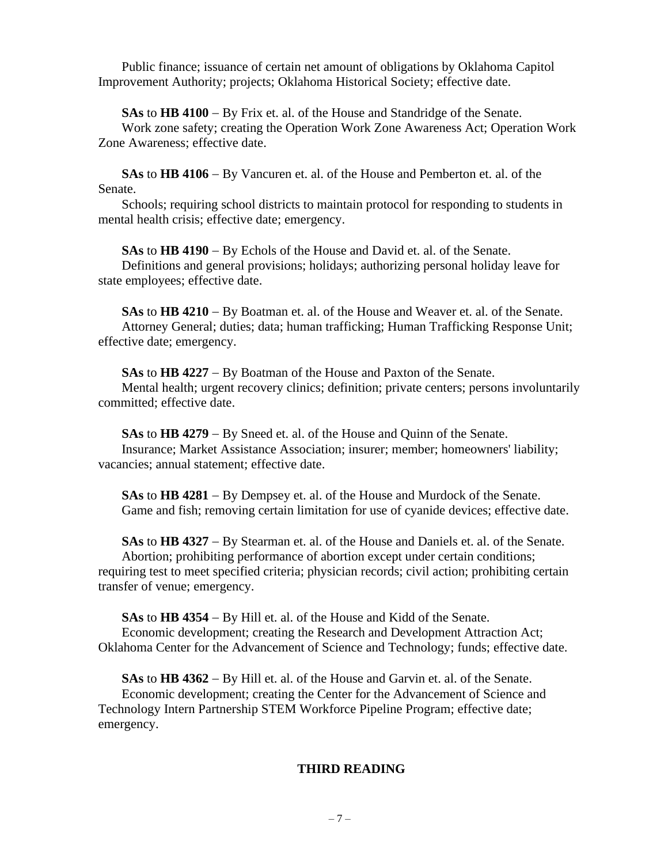Public finance; issuance of certain net amount of obligations by Oklahoma Capitol Improvement Authority; projects; Oklahoma Historical Society; effective date.

**SAs** to **HB 4100** − By Frix et. al. of the House and Standridge of the Senate.

Work zone safety; creating the Operation Work Zone Awareness Act; Operation Work Zone Awareness; effective date.

**SAs** to **HB 4106** − By Vancuren et. al. of the House and Pemberton et. al. of the Senate.

Schools; requiring school districts to maintain protocol for responding to students in mental health crisis; effective date; emergency.

**SAs** to **HB 4190** − By Echols of the House and David et. al. of the Senate. Definitions and general provisions; holidays; authorizing personal holiday leave for state employees; effective date.

**SAs** to **HB 4210** − By Boatman et. al. of the House and Weaver et. al. of the Senate. Attorney General; duties; data; human trafficking; Human Trafficking Response Unit; effective date; emergency.

**SAs** to **HB 4227** − By Boatman of the House and Paxton of the Senate. Mental health; urgent recovery clinics; definition; private centers; persons involuntarily committed; effective date.

**SAs** to **HB 4279** − By Sneed et. al. of the House and Quinn of the Senate. Insurance; Market Assistance Association; insurer; member; homeowners' liability; vacancies; annual statement; effective date.

**SAs** to **HB 4281** − By Dempsey et. al. of the House and Murdock of the Senate. Game and fish; removing certain limitation for use of cyanide devices; effective date.

**SAs** to **HB 4327** − By Stearman et. al. of the House and Daniels et. al. of the Senate. Abortion; prohibiting performance of abortion except under certain conditions; requiring test to meet specified criteria; physician records; civil action; prohibiting certain transfer of venue; emergency.

**SAs** to **HB 4354** − By Hill et. al. of the House and Kidd of the Senate. Economic development; creating the Research and Development Attraction Act; Oklahoma Center for the Advancement of Science and Technology; funds; effective date.

**SAs** to **HB 4362** − By Hill et. al. of the House and Garvin et. al. of the Senate. Economic development; creating the Center for the Advancement of Science and Technology Intern Partnership STEM Workforce Pipeline Program; effective date; emergency.

# **THIRD READING**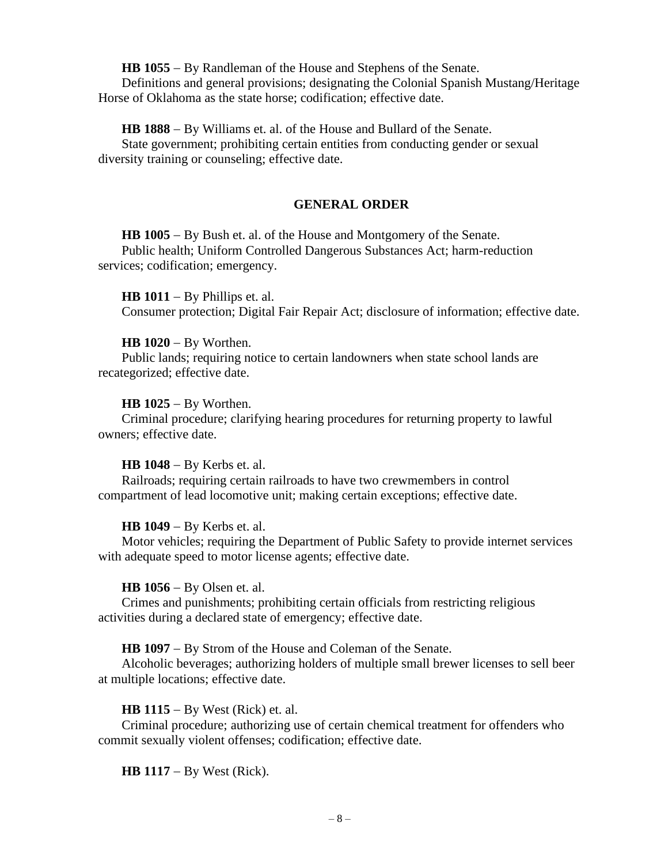**HB 1055** − By Randleman of the House and Stephens of the Senate.

Definitions and general provisions; designating the Colonial Spanish Mustang/Heritage Horse of Oklahoma as the state horse; codification; effective date.

**HB 1888** − By Williams et. al. of the House and Bullard of the Senate.

State government; prohibiting certain entities from conducting gender or sexual diversity training or counseling; effective date.

# **GENERAL ORDER**

**HB 1005** − By Bush et. al. of the House and Montgomery of the Senate. Public health; Uniform Controlled Dangerous Substances Act; harm-reduction services; codification; emergency.

**HB 1011** − By Phillips et. al. Consumer protection; Digital Fair Repair Act; disclosure of information; effective date.

# **HB 1020** − By Worthen.

Public lands; requiring notice to certain landowners when state school lands are recategorized; effective date.

# **HB 1025** − By Worthen.

Criminal procedure; clarifying hearing procedures for returning property to lawful owners; effective date.

### **HB 1048** − By Kerbs et. al.

Railroads; requiring certain railroads to have two crewmembers in control compartment of lead locomotive unit; making certain exceptions; effective date.

# **HB 1049** − By Kerbs et. al.

Motor vehicles; requiring the Department of Public Safety to provide internet services with adequate speed to motor license agents; effective date.

### **HB 1056** − By Olsen et. al.

Crimes and punishments; prohibiting certain officials from restricting religious activities during a declared state of emergency; effective date.

### **HB 1097** − By Strom of the House and Coleman of the Senate.

Alcoholic beverages; authorizing holders of multiple small brewer licenses to sell beer at multiple locations; effective date.

# **HB 1115** − By West (Rick) et. al.

Criminal procedure; authorizing use of certain chemical treatment for offenders who commit sexually violent offenses; codification; effective date.

**HB 1117** − By West (Rick).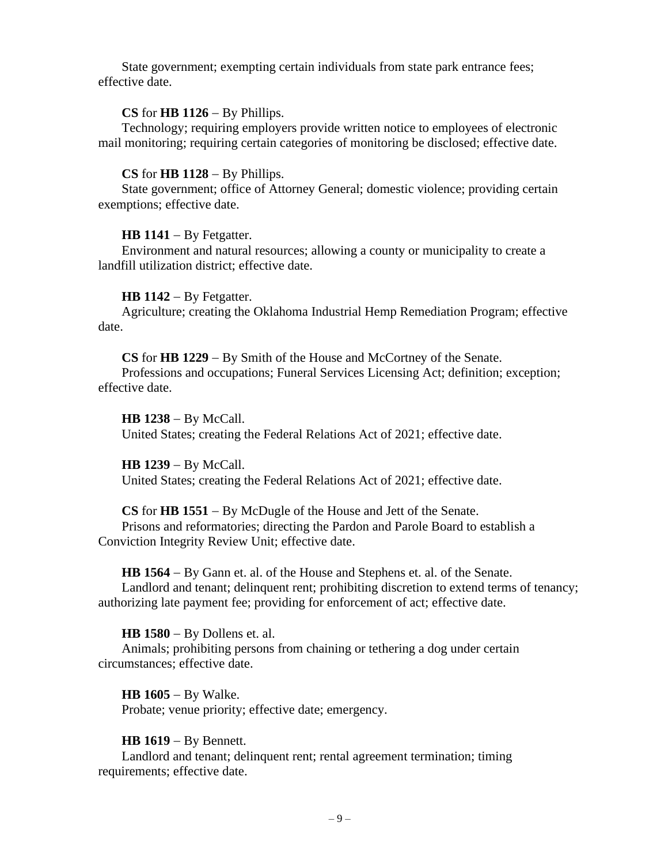State government; exempting certain individuals from state park entrance fees; effective date.

### **CS** for **HB 1126** − By Phillips.

Technology; requiring employers provide written notice to employees of electronic mail monitoring; requiring certain categories of monitoring be disclosed; effective date.

### **CS** for **HB 1128** − By Phillips.

State government; office of Attorney General; domestic violence; providing certain exemptions; effective date.

### **HB 1141** − By Fetgatter.

Environment and natural resources; allowing a county or municipality to create a landfill utilization district; effective date.

### **HB 1142** − By Fetgatter.

Agriculture; creating the Oklahoma Industrial Hemp Remediation Program; effective date.

**CS** for **HB 1229** − By Smith of the House and McCortney of the Senate.

Professions and occupations; Funeral Services Licensing Act; definition; exception; effective date.

**HB 1238** − By McCall. United States; creating the Federal Relations Act of 2021; effective date.

**HB 1239** − By McCall. United States; creating the Federal Relations Act of 2021; effective date.

### **CS** for **HB 1551** − By McDugle of the House and Jett of the Senate.

Prisons and reformatories; directing the Pardon and Parole Board to establish a Conviction Integrity Review Unit; effective date.

**HB 1564** − By Gann et. al. of the House and Stephens et. al. of the Senate.

Landlord and tenant; delinquent rent; prohibiting discretion to extend terms of tenancy; authorizing late payment fee; providing for enforcement of act; effective date.

**HB 1580** − By Dollens et. al.

Animals; prohibiting persons from chaining or tethering a dog under certain circumstances; effective date.

**HB 1605** − By Walke. Probate; venue priority; effective date; emergency.

### **HB 1619** − By Bennett.

Landlord and tenant; delinquent rent; rental agreement termination; timing requirements; effective date.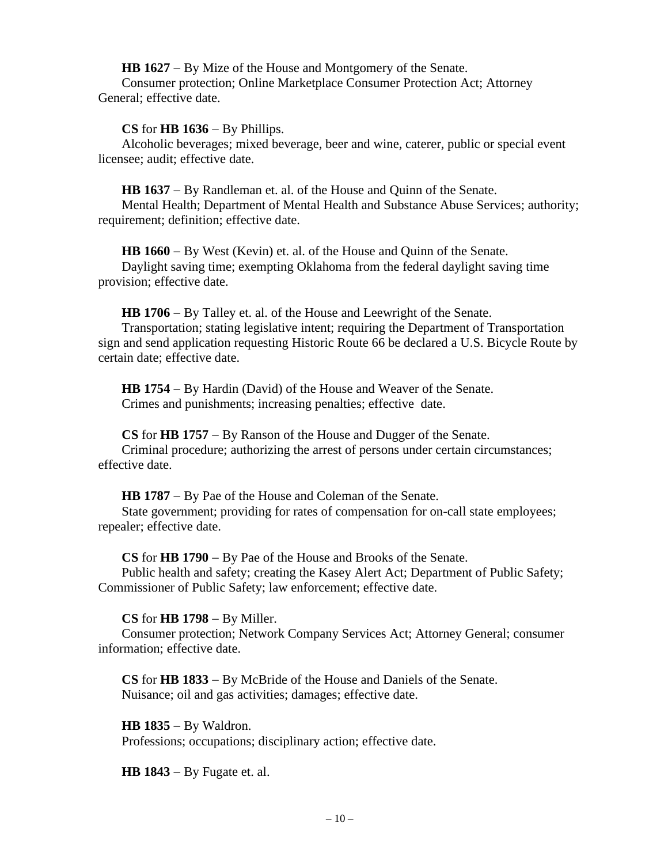**HB 1627** − By Mize of the House and Montgomery of the Senate.

Consumer protection; Online Marketplace Consumer Protection Act; Attorney General; effective date.

**CS** for **HB 1636** − By Phillips.

Alcoholic beverages; mixed beverage, beer and wine, caterer, public or special event licensee; audit; effective date.

**HB 1637** − By Randleman et. al. of the House and Quinn of the Senate.

Mental Health; Department of Mental Health and Substance Abuse Services; authority; requirement; definition; effective date.

**HB 1660** − By West (Kevin) et. al. of the House and Quinn of the Senate. Daylight saving time; exempting Oklahoma from the federal daylight saving time provision; effective date.

**HB 1706** − By Talley et. al. of the House and Leewright of the Senate.

Transportation; stating legislative intent; requiring the Department of Transportation sign and send application requesting Historic Route 66 be declared a U.S. Bicycle Route by certain date; effective date.

**HB 1754** − By Hardin (David) of the House and Weaver of the Senate. Crimes and punishments; increasing penalties; effective date.

**CS** for **HB 1757** − By Ranson of the House and Dugger of the Senate. Criminal procedure; authorizing the arrest of persons under certain circumstances; effective date.

**HB 1787** − By Pae of the House and Coleman of the Senate.

State government; providing for rates of compensation for on-call state employees; repealer; effective date.

**CS** for **HB 1790** − By Pae of the House and Brooks of the Senate.

Public health and safety; creating the Kasey Alert Act; Department of Public Safety; Commissioner of Public Safety; law enforcement; effective date.

**CS** for **HB 1798** − By Miller.

Consumer protection; Network Company Services Act; Attorney General; consumer information; effective date.

**CS** for **HB 1833** − By McBride of the House and Daniels of the Senate. Nuisance; oil and gas activities; damages; effective date.

**HB 1835** − By Waldron. Professions; occupations; disciplinary action; effective date.

**HB 1843** − By Fugate et. al.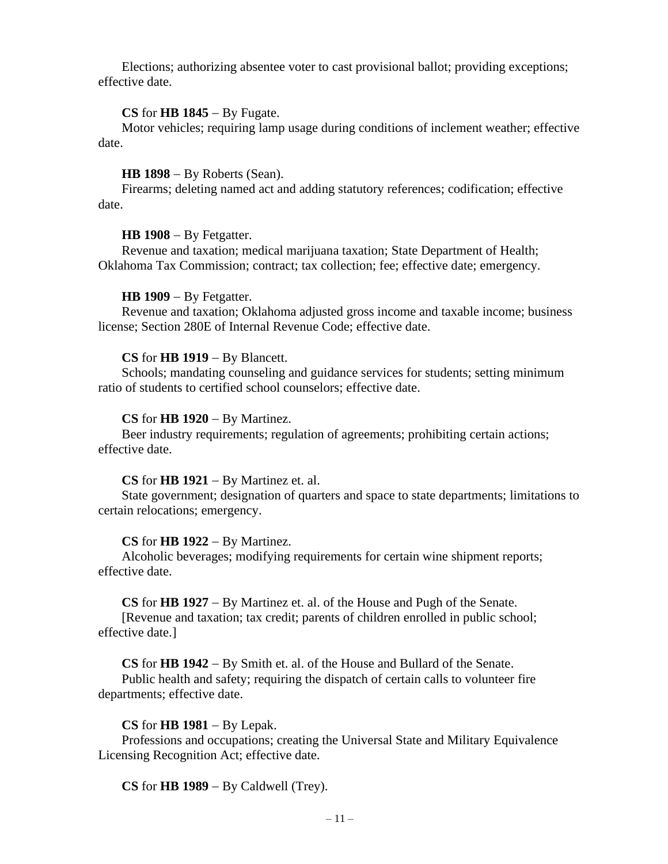Elections; authorizing absentee voter to cast provisional ballot; providing exceptions; effective date.

### **CS** for **HB 1845** − By Fugate.

Motor vehicles; requiring lamp usage during conditions of inclement weather; effective date.

### **HB 1898** − By Roberts (Sean).

Firearms; deleting named act and adding statutory references; codification; effective date.

#### **HB 1908** − By Fetgatter.

Revenue and taxation; medical marijuana taxation; State Department of Health; Oklahoma Tax Commission; contract; tax collection; fee; effective date; emergency.

### **HB 1909** − By Fetgatter.

Revenue and taxation; Oklahoma adjusted gross income and taxable income; business license; Section 280E of Internal Revenue Code; effective date.

### **CS** for **HB 1919** − By Blancett.

Schools; mandating counseling and guidance services for students; setting minimum ratio of students to certified school counselors; effective date.

### **CS** for **HB 1920** − By Martinez.

Beer industry requirements; regulation of agreements; prohibiting certain actions; effective date.

### **CS** for **HB 1921** − By Martinez et. al.

State government; designation of quarters and space to state departments; limitations to certain relocations; emergency.

### **CS** for **HB 1922** − By Martinez.

Alcoholic beverages; modifying requirements for certain wine shipment reports; effective date.

**CS** for **HB 1927** − By Martinez et. al. of the House and Pugh of the Senate.

[Revenue and taxation; tax credit; parents of children enrolled in public school; effective date.]

**CS** for **HB 1942** − By Smith et. al. of the House and Bullard of the Senate.

Public health and safety; requiring the dispatch of certain calls to volunteer fire departments; effective date.

#### **CS** for **HB 1981** − By Lepak.

Professions and occupations; creating the Universal State and Military Equivalence Licensing Recognition Act; effective date.

**CS** for **HB 1989** − By Caldwell (Trey).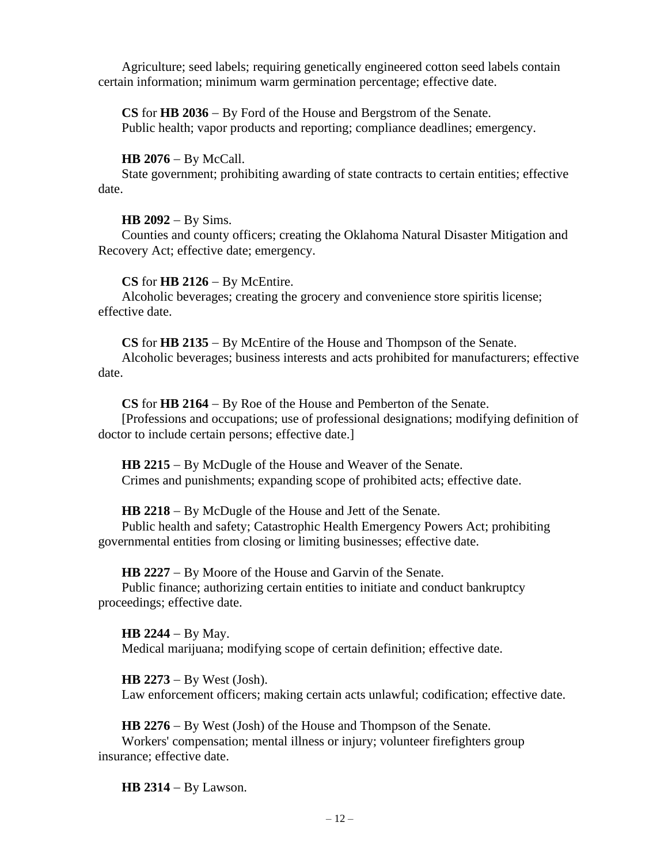Agriculture; seed labels; requiring genetically engineered cotton seed labels contain certain information; minimum warm germination percentage; effective date.

**CS** for **HB 2036** − By Ford of the House and Bergstrom of the Senate. Public health; vapor products and reporting; compliance deadlines; emergency.

# **HB 2076** − By McCall.

State government; prohibiting awarding of state contracts to certain entities; effective date.

# **HB 2092** − By Sims.

Counties and county officers; creating the Oklahoma Natural Disaster Mitigation and Recovery Act; effective date; emergency.

# **CS** for **HB 2126** − By McEntire.

Alcoholic beverages; creating the grocery and convenience store spiritis license; effective date.

**CS** for **HB 2135** − By McEntire of the House and Thompson of the Senate.

Alcoholic beverages; business interests and acts prohibited for manufacturers; effective date.

# **CS** for **HB 2164** − By Roe of the House and Pemberton of the Senate.

[Professions and occupations; use of professional designations; modifying definition of doctor to include certain persons; effective date.]

**HB 2215** − By McDugle of the House and Weaver of the Senate. Crimes and punishments; expanding scope of prohibited acts; effective date.

**HB 2218** − By McDugle of the House and Jett of the Senate.

Public health and safety; Catastrophic Health Emergency Powers Act; prohibiting governmental entities from closing or limiting businesses; effective date.

**HB 2227** − By Moore of the House and Garvin of the Senate.

Public finance; authorizing certain entities to initiate and conduct bankruptcy proceedings; effective date.

**HB 2244** − By May. Medical marijuana; modifying scope of certain definition; effective date.

# **HB 2273** − By West (Josh).

Law enforcement officers; making certain acts unlawful; codification; effective date.

**HB 2276** − By West (Josh) of the House and Thompson of the Senate.

Workers' compensation; mental illness or injury; volunteer firefighters group insurance; effective date.

**HB 2314** − By Lawson.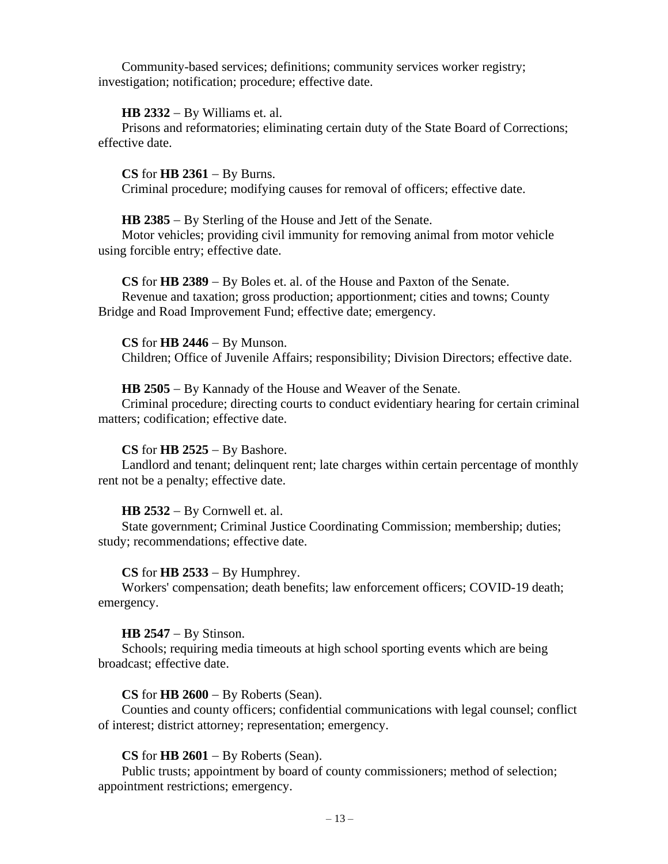Community-based services; definitions; community services worker registry; investigation; notification; procedure; effective date.

#### **HB 2332** − By Williams et. al.

Prisons and reformatories; eliminating certain duty of the State Board of Corrections; effective date.

**CS** for **HB 2361** − By Burns. Criminal procedure; modifying causes for removal of officers; effective date.

**HB 2385** − By Sterling of the House and Jett of the Senate.

Motor vehicles; providing civil immunity for removing animal from motor vehicle using forcible entry; effective date.

**CS** for **HB 2389** − By Boles et. al. of the House and Paxton of the Senate. Revenue and taxation; gross production; apportionment; cities and towns; County Bridge and Road Improvement Fund; effective date; emergency.

**CS** for **HB 2446** − By Munson. Children; Office of Juvenile Affairs; responsibility; Division Directors; effective date.

#### **HB 2505** − By Kannady of the House and Weaver of the Senate.

Criminal procedure; directing courts to conduct evidentiary hearing for certain criminal matters; codification; effective date.

### **CS** for **HB 2525** − By Bashore.

Landlord and tenant; delinquent rent; late charges within certain percentage of monthly rent not be a penalty; effective date.

#### **HB 2532** − By Cornwell et. al.

State government; Criminal Justice Coordinating Commission; membership; duties; study; recommendations; effective date.

#### **CS** for **HB 2533** − By Humphrey.

Workers' compensation; death benefits; law enforcement officers; COVID-19 death; emergency.

#### **HB 2547** − By Stinson.

Schools; requiring media timeouts at high school sporting events which are being broadcast; effective date.

### **CS** for **HB 2600** − By Roberts (Sean).

Counties and county officers; confidential communications with legal counsel; conflict of interest; district attorney; representation; emergency.

### **CS** for **HB 2601** − By Roberts (Sean).

Public trusts; appointment by board of county commissioners; method of selection; appointment restrictions; emergency.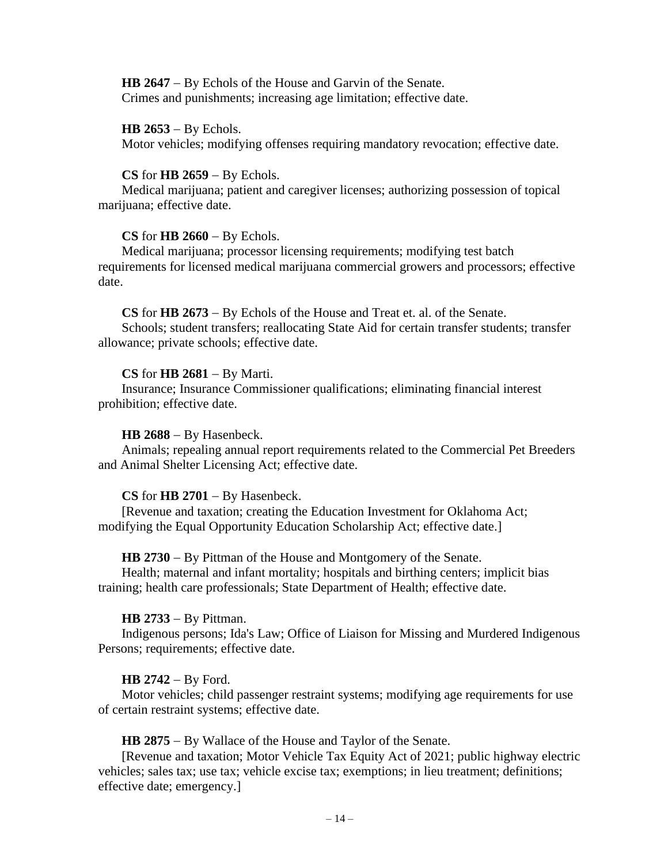**HB 2647** − By Echols of the House and Garvin of the Senate. Crimes and punishments; increasing age limitation; effective date.

### **HB 2653** − By Echols.

Motor vehicles; modifying offenses requiring mandatory revocation; effective date.

### **CS** for **HB 2659** − By Echols.

Medical marijuana; patient and caregiver licenses; authorizing possession of topical marijuana; effective date.

### **CS** for **HB 2660** − By Echols.

Medical marijuana; processor licensing requirements; modifying test batch requirements for licensed medical marijuana commercial growers and processors; effective date.

**CS** for **HB 2673** − By Echols of the House and Treat et. al. of the Senate.

Schools; student transfers; reallocating State Aid for certain transfer students; transfer allowance; private schools; effective date.

### **CS** for **HB 2681** − By Marti.

Insurance; Insurance Commissioner qualifications; eliminating financial interest prohibition; effective date.

### **HB 2688** − By Hasenbeck.

Animals; repealing annual report requirements related to the Commercial Pet Breeders and Animal Shelter Licensing Act; effective date.

### **CS** for **HB 2701** − By Hasenbeck.

[Revenue and taxation; creating the Education Investment for Oklahoma Act; modifying the Equal Opportunity Education Scholarship Act; effective date.]

### **HB 2730** − By Pittman of the House and Montgomery of the Senate.

Health; maternal and infant mortality; hospitals and birthing centers; implicit bias training; health care professionals; State Department of Health; effective date.

### **HB 2733** − By Pittman.

Indigenous persons; Ida's Law; Office of Liaison for Missing and Murdered Indigenous Persons; requirements; effective date.

### **HB 2742** − By Ford.

Motor vehicles; child passenger restraint systems; modifying age requirements for use of certain restraint systems; effective date.

**HB 2875** − By Wallace of the House and Taylor of the Senate.

[Revenue and taxation; Motor Vehicle Tax Equity Act of 2021; public highway electric vehicles; sales tax; use tax; vehicle excise tax; exemptions; in lieu treatment; definitions; effective date; emergency.]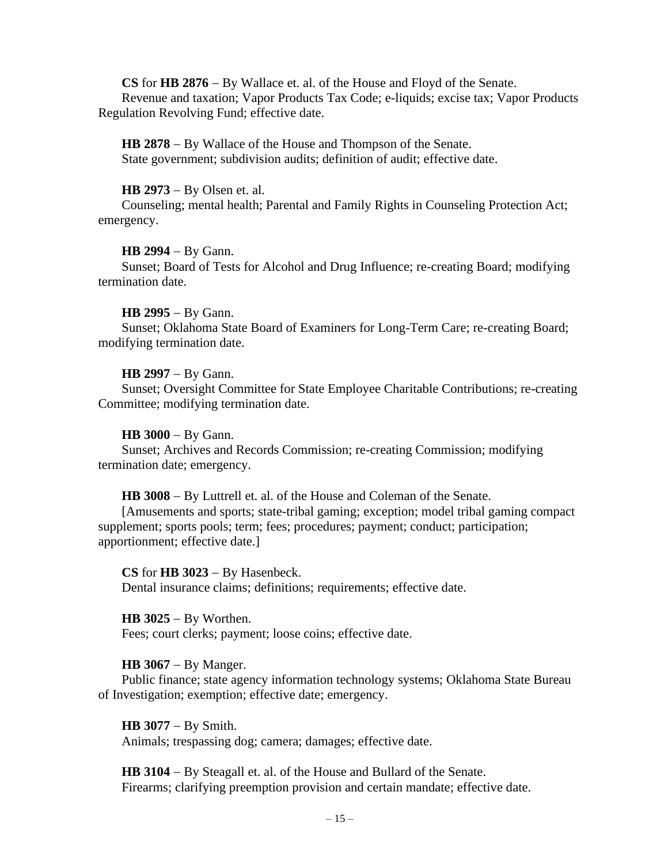**CS** for **HB 2876** − By Wallace et. al. of the House and Floyd of the Senate. Revenue and taxation; Vapor Products Tax Code; e-liquids; excise tax; Vapor Products Regulation Revolving Fund; effective date.

**HB 2878** − By Wallace of the House and Thompson of the Senate. State government; subdivision audits; definition of audit; effective date.

# **HB 2973** − By Olsen et. al.

Counseling; mental health; Parental and Family Rights in Counseling Protection Act; emergency.

# **HB 2994** − By Gann.

Sunset; Board of Tests for Alcohol and Drug Influence; re-creating Board; modifying termination date.

# **HB 2995** − By Gann.

Sunset; Oklahoma State Board of Examiners for Long-Term Care; re-creating Board; modifying termination date.

# **HB 2997** − By Gann.

Sunset; Oversight Committee for State Employee Charitable Contributions; re-creating Committee; modifying termination date.

# **HB 3000** − By Gann.

Sunset; Archives and Records Commission; re-creating Commission; modifying termination date; emergency.

**HB 3008** − By Luttrell et. al. of the House and Coleman of the Senate.

[Amusements and sports; state-tribal gaming; exception; model tribal gaming compact supplement; sports pools; term; fees; procedures; payment; conduct; participation; apportionment; effective date.]

**CS** for **HB 3023** − By Hasenbeck. Dental insurance claims; definitions; requirements; effective date.

**HB 3025** − By Worthen. Fees; court clerks; payment; loose coins; effective date.

# **HB 3067** − By Manger.

Public finance; state agency information technology systems; Oklahoma State Bureau of Investigation; exemption; effective date; emergency.

**HB 3077** − By Smith.

Animals; trespassing dog; camera; damages; effective date.

**HB 3104** − By Steagall et. al. of the House and Bullard of the Senate. Firearms; clarifying preemption provision and certain mandate; effective date.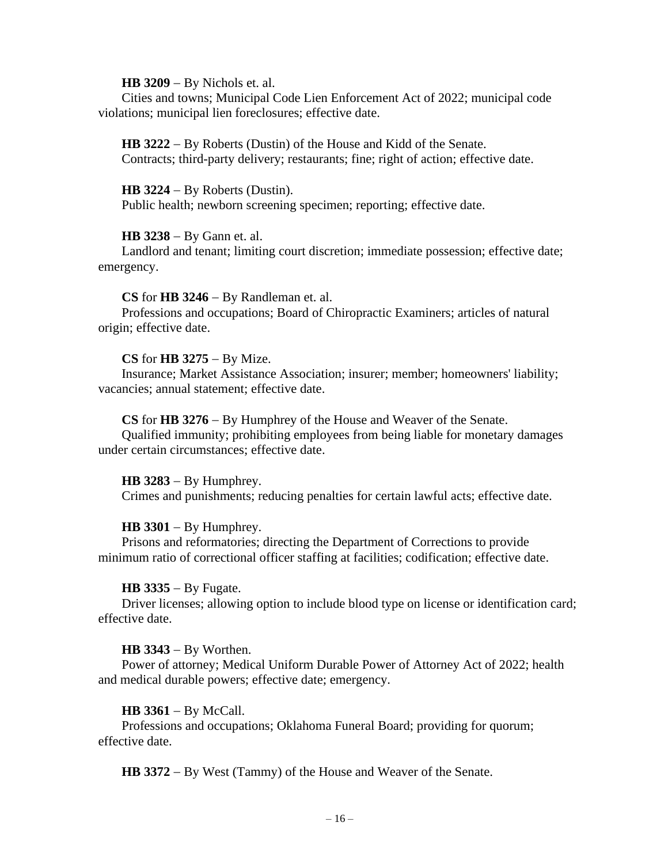### **HB 3209** − By Nichols et. al.

Cities and towns; Municipal Code Lien Enforcement Act of 2022; municipal code violations; municipal lien foreclosures; effective date.

**HB 3222** − By Roberts (Dustin) of the House and Kidd of the Senate. Contracts; third-party delivery; restaurants; fine; right of action; effective date.

#### **HB 3224** − By Roberts (Dustin).

Public health; newborn screening specimen; reporting; effective date.

### **HB 3238** − By Gann et. al.

Landlord and tenant; limiting court discretion; immediate possession; effective date; emergency.

### **CS** for **HB 3246** − By Randleman et. al.

Professions and occupations; Board of Chiropractic Examiners; articles of natural origin; effective date.

### **CS** for **HB 3275** − By Mize.

Insurance; Market Assistance Association; insurer; member; homeowners' liability; vacancies; annual statement; effective date.

### **CS** for **HB 3276** − By Humphrey of the House and Weaver of the Senate.

Qualified immunity; prohibiting employees from being liable for monetary damages under certain circumstances; effective date.

#### **HB 3283** − By Humphrey.

Crimes and punishments; reducing penalties for certain lawful acts; effective date.

### **HB 3301** − By Humphrey.

Prisons and reformatories; directing the Department of Corrections to provide minimum ratio of correctional officer staffing at facilities; codification; effective date.

### **HB 3335** − By Fugate.

Driver licenses; allowing option to include blood type on license or identification card; effective date.

### **HB 3343** − By Worthen.

Power of attorney; Medical Uniform Durable Power of Attorney Act of 2022; health and medical durable powers; effective date; emergency.

#### **HB 3361** − By McCall.

Professions and occupations; Oklahoma Funeral Board; providing for quorum; effective date.

**HB 3372** − By West (Tammy) of the House and Weaver of the Senate.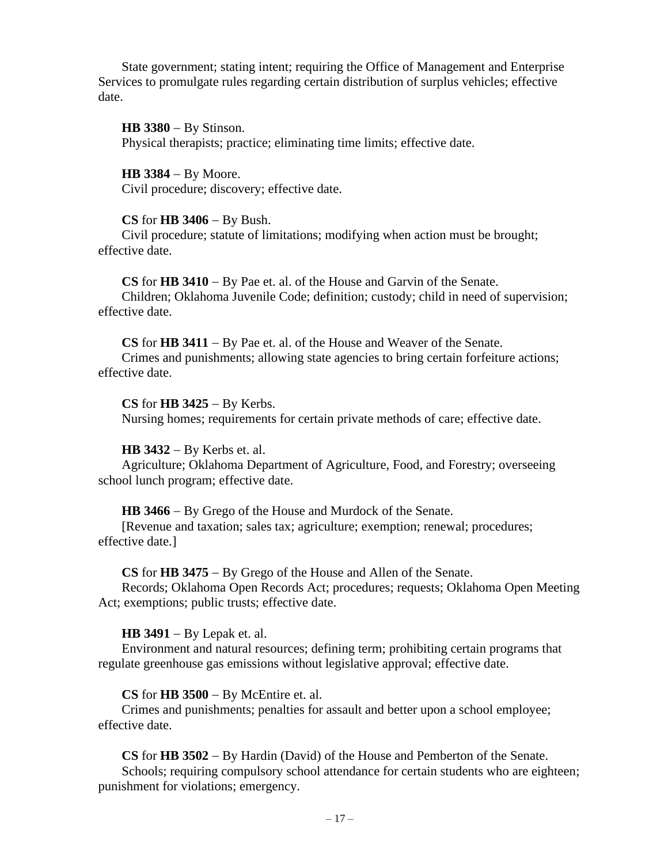State government; stating intent; requiring the Office of Management and Enterprise Services to promulgate rules regarding certain distribution of surplus vehicles; effective date.

**HB 3380** − By Stinson. Physical therapists; practice; eliminating time limits; effective date.

**HB 3384** − By Moore. Civil procedure; discovery; effective date.

### **CS** for **HB 3406** − By Bush.

Civil procedure; statute of limitations; modifying when action must be brought; effective date.

**CS** for **HB 3410** − By Pae et. al. of the House and Garvin of the Senate. Children; Oklahoma Juvenile Code; definition; custody; child in need of supervision; effective date.

**CS** for **HB 3411** − By Pae et. al. of the House and Weaver of the Senate. Crimes and punishments; allowing state agencies to bring certain forfeiture actions; effective date.

**CS** for **HB 3425** − By Kerbs. Nursing homes; requirements for certain private methods of care; effective date.

**HB 3432** − By Kerbs et. al.

Agriculture; Oklahoma Department of Agriculture, Food, and Forestry; overseeing school lunch program; effective date.

**HB 3466** − By Grego of the House and Murdock of the Senate.

[Revenue and taxation; sales tax; agriculture; exemption; renewal; procedures; effective date.]

**CS** for **HB 3475** − By Grego of the House and Allen of the Senate.

Records; Oklahoma Open Records Act; procedures; requests; Oklahoma Open Meeting Act; exemptions; public trusts; effective date.

**HB 3491** − By Lepak et. al.

Environment and natural resources; defining term; prohibiting certain programs that regulate greenhouse gas emissions without legislative approval; effective date.

**CS** for **HB 3500** − By McEntire et. al.

Crimes and punishments; penalties for assault and better upon a school employee; effective date.

**CS** for **HB 3502** − By Hardin (David) of the House and Pemberton of the Senate.

Schools; requiring compulsory school attendance for certain students who are eighteen; punishment for violations; emergency.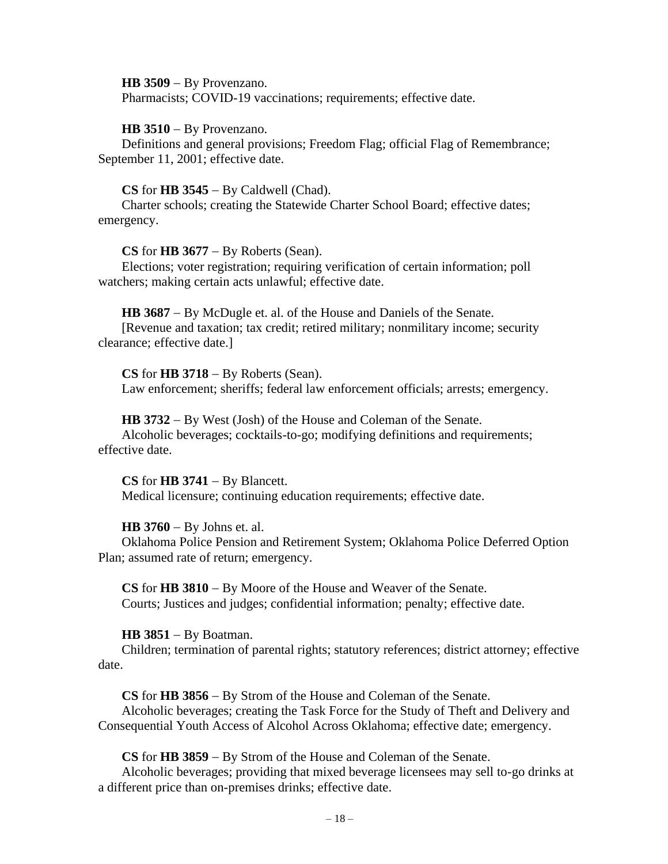**HB 3509** − By Provenzano.

Pharmacists; COVID-19 vaccinations; requirements; effective date.

**HB 3510** − By Provenzano.

Definitions and general provisions; Freedom Flag; official Flag of Remembrance; September 11, 2001; effective date.

### **CS** for **HB 3545** − By Caldwell (Chad).

Charter schools; creating the Statewide Charter School Board; effective dates; emergency.

**CS** for **HB 3677** − By Roberts (Sean).

Elections; voter registration; requiring verification of certain information; poll watchers; making certain acts unlawful; effective date.

**HB 3687** − By McDugle et. al. of the House and Daniels of the Senate.

[Revenue and taxation; tax credit; retired military; nonmilitary income; security clearance; effective date.]

**CS** for **HB 3718** − By Roberts (Sean).

Law enforcement; sheriffs; federal law enforcement officials; arrests; emergency.

**HB 3732** − By West (Josh) of the House and Coleman of the Senate.

Alcoholic beverages; cocktails-to-go; modifying definitions and requirements; effective date.

# **CS** for **HB 3741** − By Blancett.

Medical licensure; continuing education requirements; effective date.

### **HB 3760** − By Johns et. al.

Oklahoma Police Pension and Retirement System; Oklahoma Police Deferred Option Plan; assumed rate of return; emergency.

**CS** for **HB 3810** − By Moore of the House and Weaver of the Senate. Courts; Justices and judges; confidential information; penalty; effective date.

#### **HB 3851** − By Boatman.

Children; termination of parental rights; statutory references; district attorney; effective date.

**CS** for **HB 3856** − By Strom of the House and Coleman of the Senate. Alcoholic beverages; creating the Task Force for the Study of Theft and Delivery and Consequential Youth Access of Alcohol Across Oklahoma; effective date; emergency.

**CS** for **HB 3859** − By Strom of the House and Coleman of the Senate.

Alcoholic beverages; providing that mixed beverage licensees may sell to-go drinks at a different price than on-premises drinks; effective date.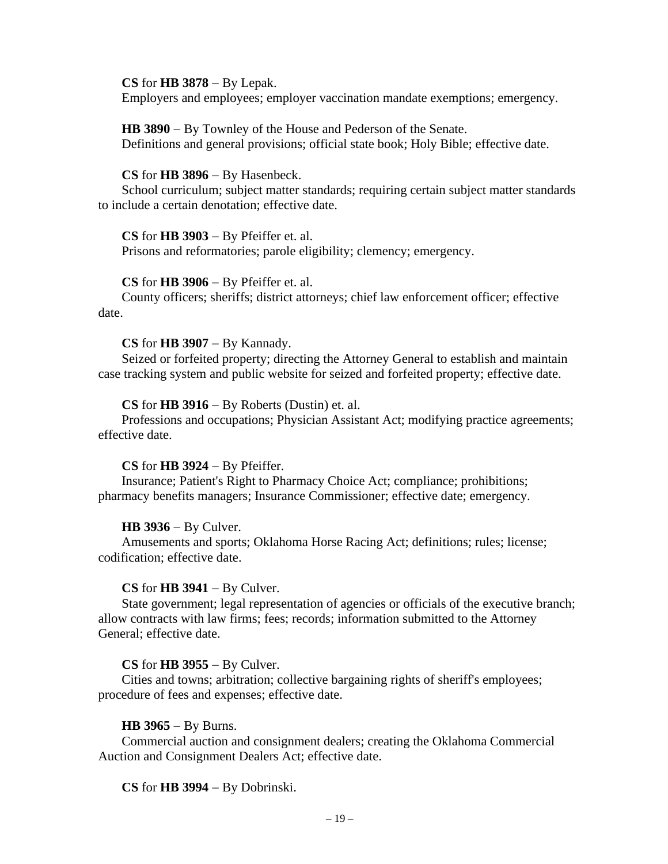### **CS** for **HB 3878** − By Lepak.

Employers and employees; employer vaccination mandate exemptions; emergency.

**HB 3890** − By Townley of the House and Pederson of the Senate. Definitions and general provisions; official state book; Holy Bible; effective date.

#### **CS** for **HB 3896** − By Hasenbeck.

School curriculum; subject matter standards; requiring certain subject matter standards to include a certain denotation; effective date.

### **CS** for **HB 3903** − By Pfeiffer et. al.

Prisons and reformatories; parole eligibility; clemency; emergency.

### **CS** for **HB 3906** − By Pfeiffer et. al.

County officers; sheriffs; district attorneys; chief law enforcement officer; effective date.

### **CS** for **HB 3907** − By Kannady.

Seized or forfeited property; directing the Attorney General to establish and maintain case tracking system and public website for seized and forfeited property; effective date.

### **CS** for **HB 3916** − By Roberts (Dustin) et. al.

Professions and occupations; Physician Assistant Act; modifying practice agreements; effective date.

#### **CS** for **HB 3924** − By Pfeiffer.

Insurance; Patient's Right to Pharmacy Choice Act; compliance; prohibitions; pharmacy benefits managers; Insurance Commissioner; effective date; emergency.

### **HB 3936** − By Culver.

Amusements and sports; Oklahoma Horse Racing Act; definitions; rules; license; codification; effective date.

### **CS** for **HB 3941** − By Culver.

State government; legal representation of agencies or officials of the executive branch; allow contracts with law firms; fees; records; information submitted to the Attorney General; effective date.

### **CS** for **HB 3955** − By Culver.

Cities and towns; arbitration; collective bargaining rights of sheriff's employees; procedure of fees and expenses; effective date.

### **HB 3965** − By Burns.

Commercial auction and consignment dealers; creating the Oklahoma Commercial Auction and Consignment Dealers Act; effective date.

### **CS** for **HB 3994** − By Dobrinski.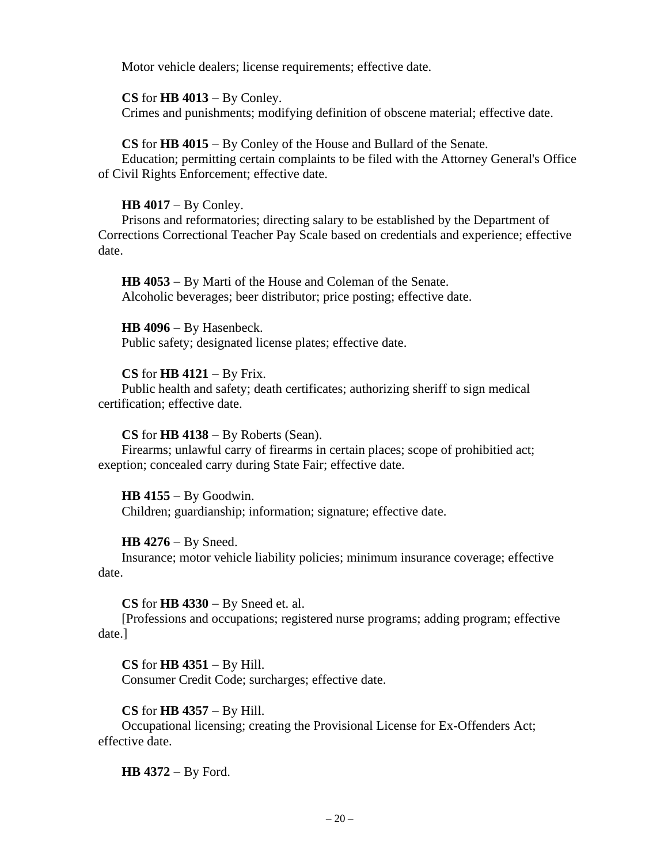Motor vehicle dealers; license requirements; effective date.

**CS** for **HB 4013** − By Conley. Crimes and punishments; modifying definition of obscene material; effective date.

**CS** for **HB 4015** − By Conley of the House and Bullard of the Senate.

Education; permitting certain complaints to be filed with the Attorney General's Office of Civil Rights Enforcement; effective date.

# **HB 4017** − By Conley.

Prisons and reformatories; directing salary to be established by the Department of Corrections Correctional Teacher Pay Scale based on credentials and experience; effective date.

**HB 4053** − By Marti of the House and Coleman of the Senate. Alcoholic beverages; beer distributor; price posting; effective date.

**HB 4096** − By Hasenbeck.

Public safety; designated license plates; effective date.

# **CS** for **HB 4121** − By Frix.

Public health and safety; death certificates; authorizing sheriff to sign medical certification; effective date.

# **CS** for **HB 4138** − By Roberts (Sean).

Firearms; unlawful carry of firearms in certain places; scope of prohibitied act; exeption; concealed carry during State Fair; effective date.

**HB 4155** − By Goodwin. Children; guardianship; information; signature; effective date.

# **HB 4276** − By Sneed.

Insurance; motor vehicle liability policies; minimum insurance coverage; effective date.

**CS** for **HB 4330** − By Sneed et. al.

[Professions and occupations; registered nurse programs; adding program; effective date.]

**CS** for **HB 4351** − By Hill.

Consumer Credit Code; surcharges; effective date.

# **CS** for **HB 4357** − By Hill.

Occupational licensing; creating the Provisional License for Ex-Offenders Act; effective date.

**HB 4372** − By Ford.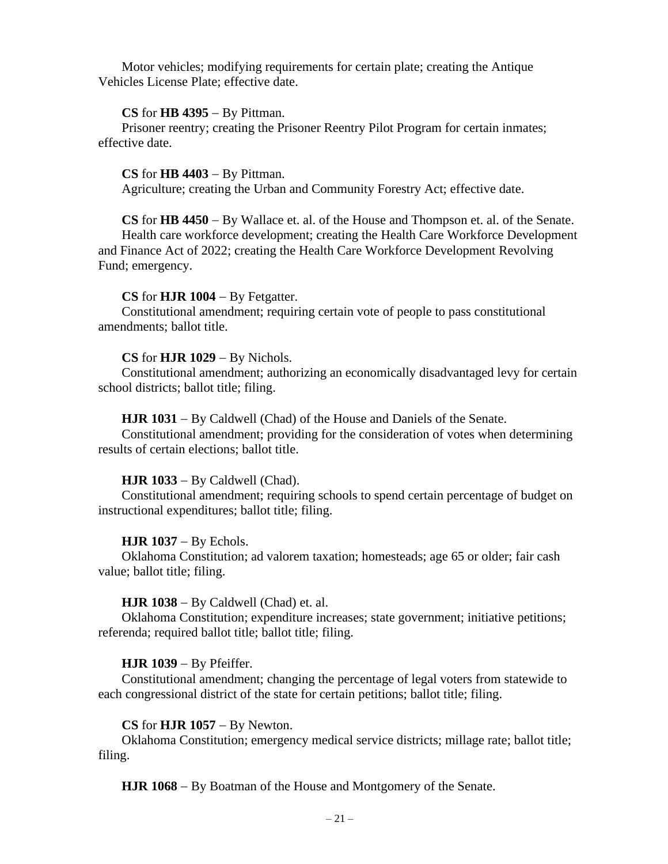Motor vehicles; modifying requirements for certain plate; creating the Antique Vehicles License Plate; effective date.

### **CS** for **HB 4395** − By Pittman.

Prisoner reentry; creating the Prisoner Reentry Pilot Program for certain inmates; effective date.

### **CS** for **HB 4403** − By Pittman.

Agriculture; creating the Urban and Community Forestry Act; effective date.

**CS** for **HB 4450** − By Wallace et. al. of the House and Thompson et. al. of the Senate. Health care workforce development; creating the Health Care Workforce Development and Finance Act of 2022; creating the Health Care Workforce Development Revolving Fund; emergency.

### **CS** for **HJR 1004** − By Fetgatter.

Constitutional amendment; requiring certain vote of people to pass constitutional amendments; ballot title.

#### **CS** for **HJR 1029** − By Nichols.

Constitutional amendment; authorizing an economically disadvantaged levy for certain school districts; ballot title; filing.

### **HJR 1031** − By Caldwell (Chad) of the House and Daniels of the Senate.

Constitutional amendment; providing for the consideration of votes when determining results of certain elections; ballot title.

#### **HJR 1033** − By Caldwell (Chad).

Constitutional amendment; requiring schools to spend certain percentage of budget on instructional expenditures; ballot title; filing.

### **HJR 1037** − By Echols.

Oklahoma Constitution; ad valorem taxation; homesteads; age 65 or older; fair cash value; ballot title; filing.

#### **HJR 1038** − By Caldwell (Chad) et. al.

Oklahoma Constitution; expenditure increases; state government; initiative petitions; referenda; required ballot title; ballot title; filing.

### **HJR 1039** − By Pfeiffer.

Constitutional amendment; changing the percentage of legal voters from statewide to each congressional district of the state for certain petitions; ballot title; filing.

#### **CS** for **HJR 1057** − By Newton.

Oklahoma Constitution; emergency medical service districts; millage rate; ballot title; filing.

**HJR 1068** − By Boatman of the House and Montgomery of the Senate.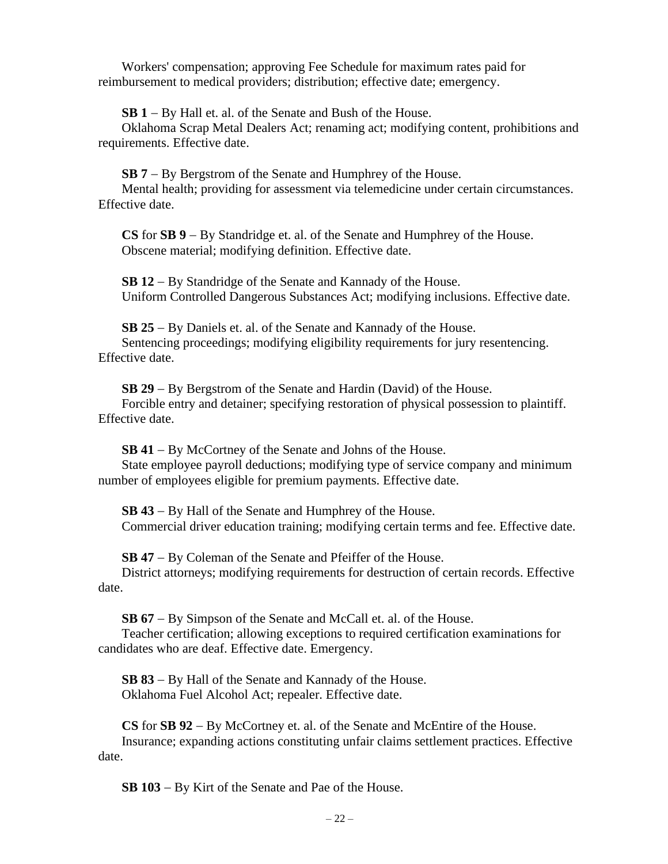Workers' compensation; approving Fee Schedule for maximum rates paid for reimbursement to medical providers; distribution; effective date; emergency.

**SB 1** − By Hall et. al. of the Senate and Bush of the House.

Oklahoma Scrap Metal Dealers Act; renaming act; modifying content, prohibitions and requirements. Effective date.

**SB 7** − By Bergstrom of the Senate and Humphrey of the House.

Mental health; providing for assessment via telemedicine under certain circumstances. Effective date.

**CS** for **SB 9** − By Standridge et. al. of the Senate and Humphrey of the House. Obscene material; modifying definition. Effective date.

**SB 12** − By Standridge of the Senate and Kannady of the House. Uniform Controlled Dangerous Substances Act; modifying inclusions. Effective date.

**SB 25** − By Daniels et. al. of the Senate and Kannady of the House. Sentencing proceedings; modifying eligibility requirements for jury resentencing. Effective date.

**SB 29** − By Bergstrom of the Senate and Hardin (David) of the House. Forcible entry and detainer; specifying restoration of physical possession to plaintiff. Effective date.

**SB 41** − By McCortney of the Senate and Johns of the House.

State employee payroll deductions; modifying type of service company and minimum number of employees eligible for premium payments. Effective date.

**SB 43** − By Hall of the Senate and Humphrey of the House. Commercial driver education training; modifying certain terms and fee. Effective date.

**SB 47** − By Coleman of the Senate and Pfeiffer of the House.

District attorneys; modifying requirements for destruction of certain records. Effective date.

**SB 67** − By Simpson of the Senate and McCall et. al. of the House.

Teacher certification; allowing exceptions to required certification examinations for candidates who are deaf. Effective date. Emergency.

**SB 83** − By Hall of the Senate and Kannady of the House. Oklahoma Fuel Alcohol Act; repealer. Effective date.

**CS** for **SB 92** − By McCortney et. al. of the Senate and McEntire of the House. Insurance; expanding actions constituting unfair claims settlement practices. Effective date.

**SB 103** − By Kirt of the Senate and Pae of the House.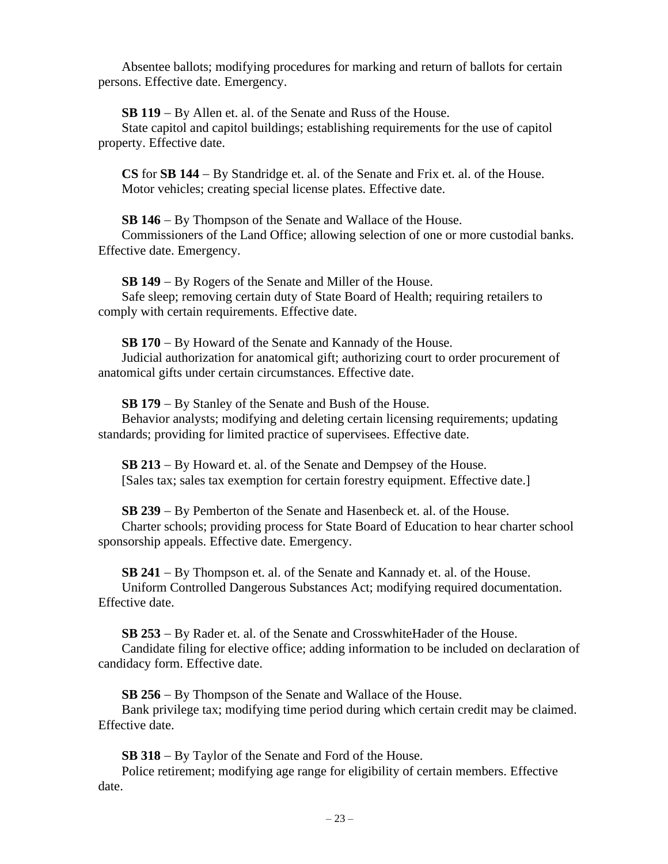Absentee ballots; modifying procedures for marking and return of ballots for certain persons. Effective date. Emergency.

**SB 119** − By Allen et. al. of the Senate and Russ of the House. State capitol and capitol buildings; establishing requirements for the use of capitol property. Effective date.

**CS** for **SB 144** − By Standridge et. al. of the Senate and Frix et. al. of the House. Motor vehicles; creating special license plates. Effective date.

**SB 146** − By Thompson of the Senate and Wallace of the House.

Commissioners of the Land Office; allowing selection of one or more custodial banks. Effective date. Emergency.

**SB 149** − By Rogers of the Senate and Miller of the House.

Safe sleep; removing certain duty of State Board of Health; requiring retailers to comply with certain requirements. Effective date.

**SB 170** − By Howard of the Senate and Kannady of the House.

Judicial authorization for anatomical gift; authorizing court to order procurement of anatomical gifts under certain circumstances. Effective date.

**SB 179** − By Stanley of the Senate and Bush of the House.

Behavior analysts; modifying and deleting certain licensing requirements; updating standards; providing for limited practice of supervisees. Effective date.

**SB 213** − By Howard et. al. of the Senate and Dempsey of the House. [Sales tax; sales tax exemption for certain forestry equipment. Effective date.]

**SB 239** − By Pemberton of the Senate and Hasenbeck et. al. of the House.

Charter schools; providing process for State Board of Education to hear charter school sponsorship appeals. Effective date. Emergency.

**SB 241** − By Thompson et. al. of the Senate and Kannady et. al. of the House. Uniform Controlled Dangerous Substances Act; modifying required documentation. Effective date.

**SB 253** − By Rader et. al. of the Senate and CrosswhiteHader of the House. Candidate filing for elective office; adding information to be included on declaration of candidacy form. Effective date.

**SB 256** − By Thompson of the Senate and Wallace of the House.

Bank privilege tax; modifying time period during which certain credit may be claimed. Effective date.

**SB 318** − By Taylor of the Senate and Ford of the House.

Police retirement; modifying age range for eligibility of certain members. Effective date.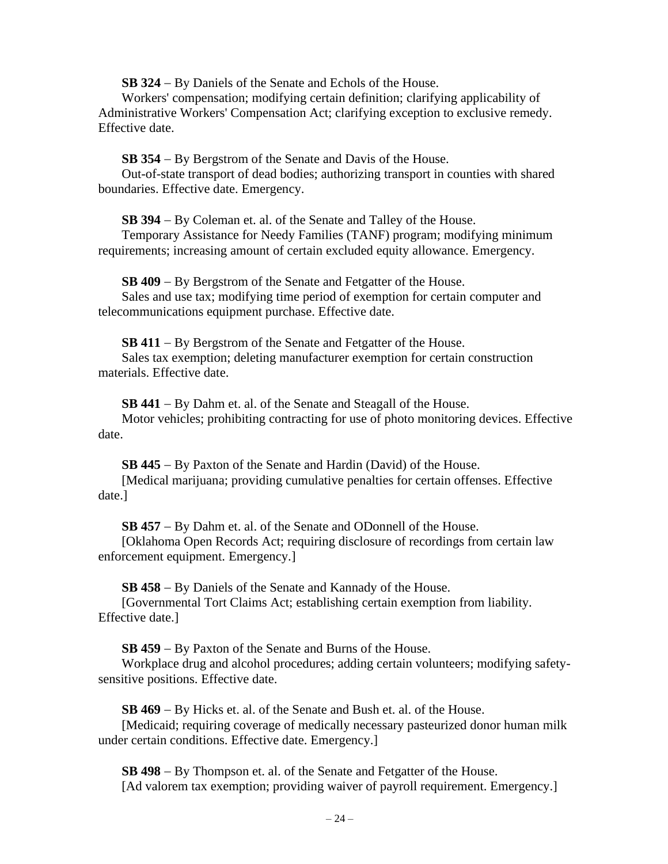**SB 324** − By Daniels of the Senate and Echols of the House.

Workers' compensation; modifying certain definition; clarifying applicability of Administrative Workers' Compensation Act; clarifying exception to exclusive remedy. Effective date.

**SB 354** − By Bergstrom of the Senate and Davis of the House.

Out-of-state transport of dead bodies; authorizing transport in counties with shared boundaries. Effective date. Emergency.

**SB 394** − By Coleman et. al. of the Senate and Talley of the House.

Temporary Assistance for Needy Families (TANF) program; modifying minimum requirements; increasing amount of certain excluded equity allowance. Emergency.

**SB 409** − By Bergstrom of the Senate and Fetgatter of the House. Sales and use tax; modifying time period of exemption for certain computer and telecommunications equipment purchase. Effective date.

**SB 411** − By Bergstrom of the Senate and Fetgatter of the House. Sales tax exemption; deleting manufacturer exemption for certain construction materials. Effective date.

**SB 441** − By Dahm et. al. of the Senate and Steagall of the House. Motor vehicles; prohibiting contracting for use of photo monitoring devices. Effective date.

**SB 445** − By Paxton of the Senate and Hardin (David) of the House. [Medical marijuana; providing cumulative penalties for certain offenses. Effective date.]

**SB 457** − By Dahm et. al. of the Senate and ODonnell of the House.

[Oklahoma Open Records Act; requiring disclosure of recordings from certain law enforcement equipment. Emergency.]

**SB 458** − By Daniels of the Senate and Kannady of the House.

[Governmental Tort Claims Act; establishing certain exemption from liability. Effective date.]

**SB 459** − By Paxton of the Senate and Burns of the House.

Workplace drug and alcohol procedures; adding certain volunteers; modifying safetysensitive positions. Effective date.

**SB 469** − By Hicks et. al. of the Senate and Bush et. al. of the House.

[Medicaid; requiring coverage of medically necessary pasteurized donor human milk under certain conditions. Effective date. Emergency.]

**SB 498** − By Thompson et. al. of the Senate and Fetgatter of the House. [Ad valorem tax exemption; providing waiver of payroll requirement. Emergency.]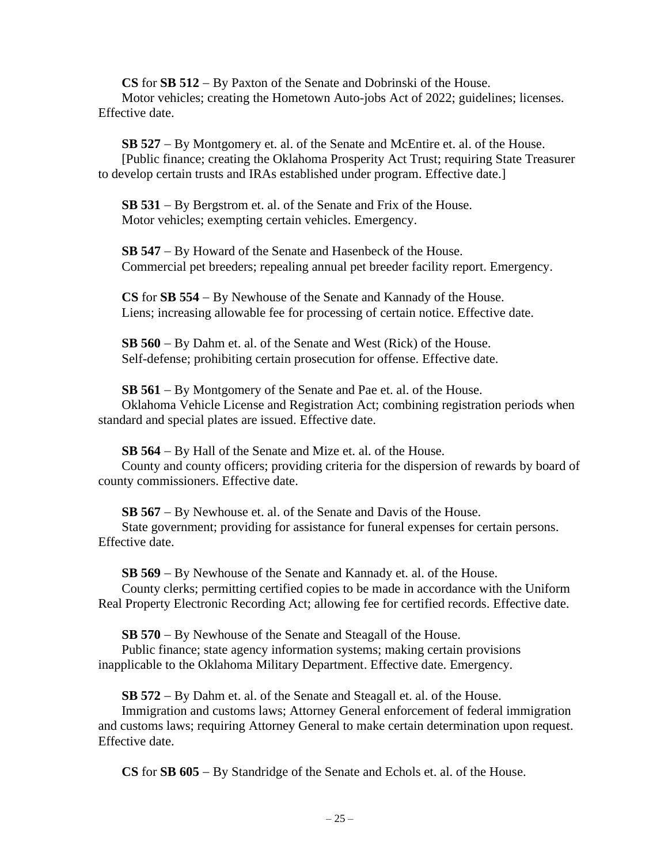**CS** for **SB 512** − By Paxton of the Senate and Dobrinski of the House. Motor vehicles; creating the Hometown Auto-jobs Act of 2022; guidelines; licenses. Effective date.

**SB 527** − By Montgomery et. al. of the Senate and McEntire et. al. of the House. [Public finance; creating the Oklahoma Prosperity Act Trust; requiring State Treasurer to develop certain trusts and IRAs established under program. Effective date.]

**SB 531** − By Bergstrom et. al. of the Senate and Frix of the House. Motor vehicles; exempting certain vehicles. Emergency.

**SB 547** − By Howard of the Senate and Hasenbeck of the House. Commercial pet breeders; repealing annual pet breeder facility report. Emergency.

**CS** for **SB 554** − By Newhouse of the Senate and Kannady of the House. Liens; increasing allowable fee for processing of certain notice. Effective date.

**SB 560** − By Dahm et. al. of the Senate and West (Rick) of the House. Self-defense; prohibiting certain prosecution for offense. Effective date.

**SB 561** − By Montgomery of the Senate and Pae et. al. of the House. Oklahoma Vehicle License and Registration Act; combining registration periods when standard and special plates are issued. Effective date.

**SB 564** − By Hall of the Senate and Mize et. al. of the House.

County and county officers; providing criteria for the dispersion of rewards by board of county commissioners. Effective date.

**SB 567** − By Newhouse et. al. of the Senate and Davis of the House.

State government; providing for assistance for funeral expenses for certain persons. Effective date.

**SB 569** − By Newhouse of the Senate and Kannady et. al. of the House. County clerks; permitting certified copies to be made in accordance with the Uniform Real Property Electronic Recording Act; allowing fee for certified records. Effective date.

**SB 570** − By Newhouse of the Senate and Steagall of the House. Public finance; state agency information systems; making certain provisions inapplicable to the Oklahoma Military Department. Effective date. Emergency.

**SB 572** − By Dahm et. al. of the Senate and Steagall et. al. of the House. Immigration and customs laws; Attorney General enforcement of federal immigration and customs laws; requiring Attorney General to make certain determination upon request. Effective date.

**CS** for **SB 605** − By Standridge of the Senate and Echols et. al. of the House.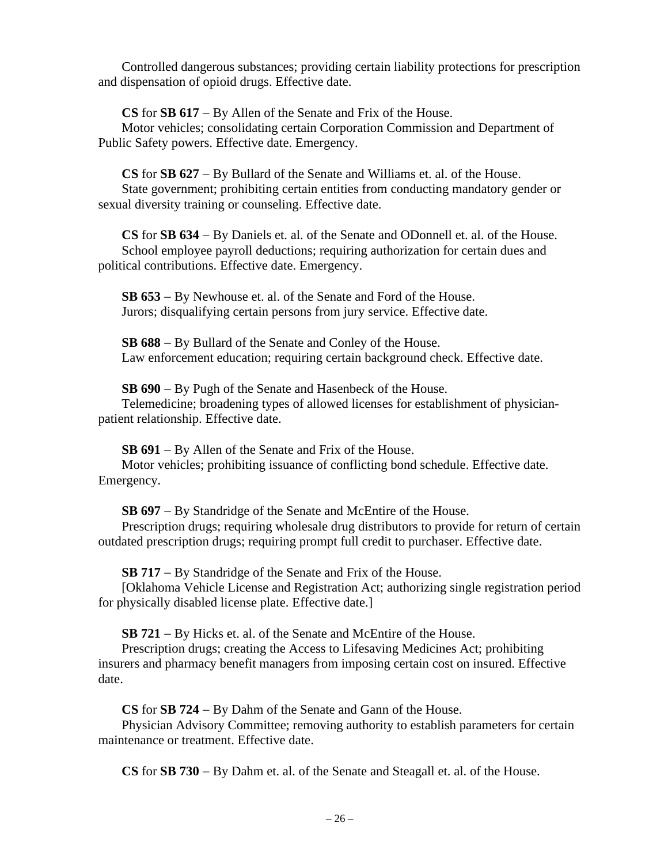Controlled dangerous substances; providing certain liability protections for prescription and dispensation of opioid drugs. Effective date.

**CS** for **SB 617** − By Allen of the Senate and Frix of the House.

Motor vehicles; consolidating certain Corporation Commission and Department of Public Safety powers. Effective date. Emergency.

**CS** for **SB 627** − By Bullard of the Senate and Williams et. al. of the House. State government; prohibiting certain entities from conducting mandatory gender or sexual diversity training or counseling. Effective date.

**CS** for **SB 634** − By Daniels et. al. of the Senate and ODonnell et. al. of the House. School employee payroll deductions; requiring authorization for certain dues and political contributions. Effective date. Emergency.

**SB 653** − By Newhouse et. al. of the Senate and Ford of the House. Jurors; disqualifying certain persons from jury service. Effective date.

**SB 688** − By Bullard of the Senate and Conley of the House. Law enforcement education; requiring certain background check. Effective date.

**SB 690** − By Pugh of the Senate and Hasenbeck of the House. Telemedicine; broadening types of allowed licenses for establishment of physicianpatient relationship. Effective date.

**SB 691** − By Allen of the Senate and Frix of the House.

Motor vehicles; prohibiting issuance of conflicting bond schedule. Effective date. Emergency.

**SB 697** − By Standridge of the Senate and McEntire of the House.

Prescription drugs; requiring wholesale drug distributors to provide for return of certain outdated prescription drugs; requiring prompt full credit to purchaser. Effective date.

**SB 717** − By Standridge of the Senate and Frix of the House.

[Oklahoma Vehicle License and Registration Act; authorizing single registration period for physically disabled license plate. Effective date.]

**SB 721** − By Hicks et. al. of the Senate and McEntire of the House.

Prescription drugs; creating the Access to Lifesaving Medicines Act; prohibiting insurers and pharmacy benefit managers from imposing certain cost on insured. Effective date.

**CS** for **SB 724** − By Dahm of the Senate and Gann of the House.

Physician Advisory Committee; removing authority to establish parameters for certain maintenance or treatment. Effective date.

**CS** for **SB 730** − By Dahm et. al. of the Senate and Steagall et. al. of the House.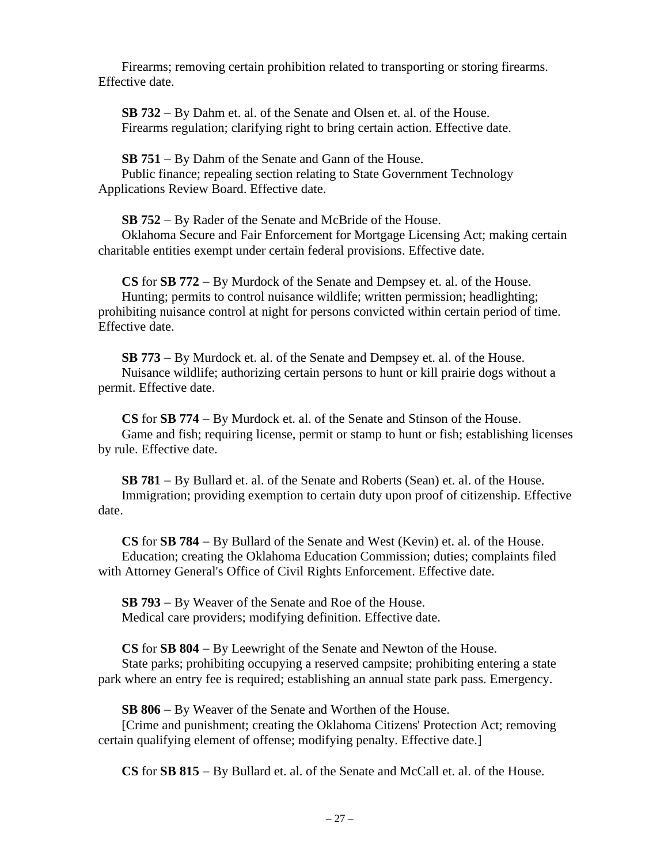Firearms; removing certain prohibition related to transporting or storing firearms. Effective date.

**SB 732** − By Dahm et. al. of the Senate and Olsen et. al. of the House. Firearms regulation; clarifying right to bring certain action. Effective date.

**SB 751** − By Dahm of the Senate and Gann of the House. Public finance; repealing section relating to State Government Technology Applications Review Board. Effective date.

**SB 752** − By Rader of the Senate and McBride of the House.

Oklahoma Secure and Fair Enforcement for Mortgage Licensing Act; making certain charitable entities exempt under certain federal provisions. Effective date.

**CS** for **SB 772** − By Murdock of the Senate and Dempsey et. al. of the House. Hunting; permits to control nuisance wildlife; written permission; headlighting; prohibiting nuisance control at night for persons convicted within certain period of time. Effective date.

**SB 773** − By Murdock et. al. of the Senate and Dempsey et. al. of the House. Nuisance wildlife; authorizing certain persons to hunt or kill prairie dogs without a permit. Effective date.

**CS** for **SB 774** − By Murdock et. al. of the Senate and Stinson of the House. Game and fish; requiring license, permit or stamp to hunt or fish; establishing licenses by rule. Effective date.

**SB 781** − By Bullard et. al. of the Senate and Roberts (Sean) et. al. of the House. Immigration; providing exemption to certain duty upon proof of citizenship. Effective date.

**CS** for **SB 784** − By Bullard of the Senate and West (Kevin) et. al. of the House. Education; creating the Oklahoma Education Commission; duties; complaints filed with Attorney General's Office of Civil Rights Enforcement. Effective date.

**SB 793** − By Weaver of the Senate and Roe of the House. Medical care providers; modifying definition. Effective date.

**CS** for **SB 804** − By Leewright of the Senate and Newton of the House.

State parks; prohibiting occupying a reserved campsite; prohibiting entering a state park where an entry fee is required; establishing an annual state park pass. Emergency.

**SB 806** − By Weaver of the Senate and Worthen of the House.

[Crime and punishment; creating the Oklahoma Citizens' Protection Act; removing certain qualifying element of offense; modifying penalty. Effective date.]

**CS** for **SB 815** − By Bullard et. al. of the Senate and McCall et. al. of the House.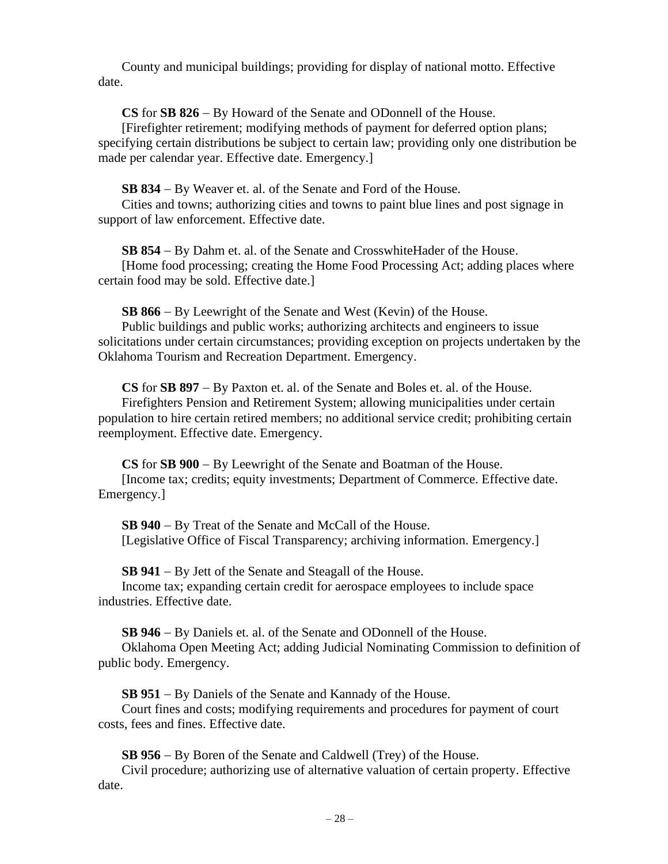County and municipal buildings; providing for display of national motto. Effective date.

**CS** for **SB 826** − By Howard of the Senate and ODonnell of the House.

[Firefighter retirement; modifying methods of payment for deferred option plans; specifying certain distributions be subject to certain law; providing only one distribution be made per calendar year. Effective date. Emergency.]

**SB 834** − By Weaver et. al. of the Senate and Ford of the House.

Cities and towns; authorizing cities and towns to paint blue lines and post signage in support of law enforcement. Effective date.

**SB 854** − By Dahm et. al. of the Senate and CrosswhiteHader of the House.

[Home food processing; creating the Home Food Processing Act; adding places where certain food may be sold. Effective date.]

**SB 866** − By Leewright of the Senate and West (Kevin) of the House.

Public buildings and public works; authorizing architects and engineers to issue solicitations under certain circumstances; providing exception on projects undertaken by the Oklahoma Tourism and Recreation Department. Emergency.

**CS** for **SB 897** − By Paxton et. al. of the Senate and Boles et. al. of the House. Firefighters Pension and Retirement System; allowing municipalities under certain population to hire certain retired members; no additional service credit; prohibiting certain reemployment. Effective date. Emergency.

**CS** for **SB 900** − By Leewright of the Senate and Boatman of the House. [Income tax; credits; equity investments; Department of Commerce. Effective date. Emergency.]

**SB 940** − By Treat of the Senate and McCall of the House. [Legislative Office of Fiscal Transparency; archiving information. Emergency.]

**SB 941** − By Jett of the Senate and Steagall of the House.

Income tax; expanding certain credit for aerospace employees to include space industries. Effective date.

**SB 946** − By Daniels et. al. of the Senate and ODonnell of the House.

Oklahoma Open Meeting Act; adding Judicial Nominating Commission to definition of public body. Emergency.

**SB 951** − By Daniels of the Senate and Kannady of the House.

Court fines and costs; modifying requirements and procedures for payment of court costs, fees and fines. Effective date.

**SB 956** − By Boren of the Senate and Caldwell (Trey) of the House.

Civil procedure; authorizing use of alternative valuation of certain property. Effective date.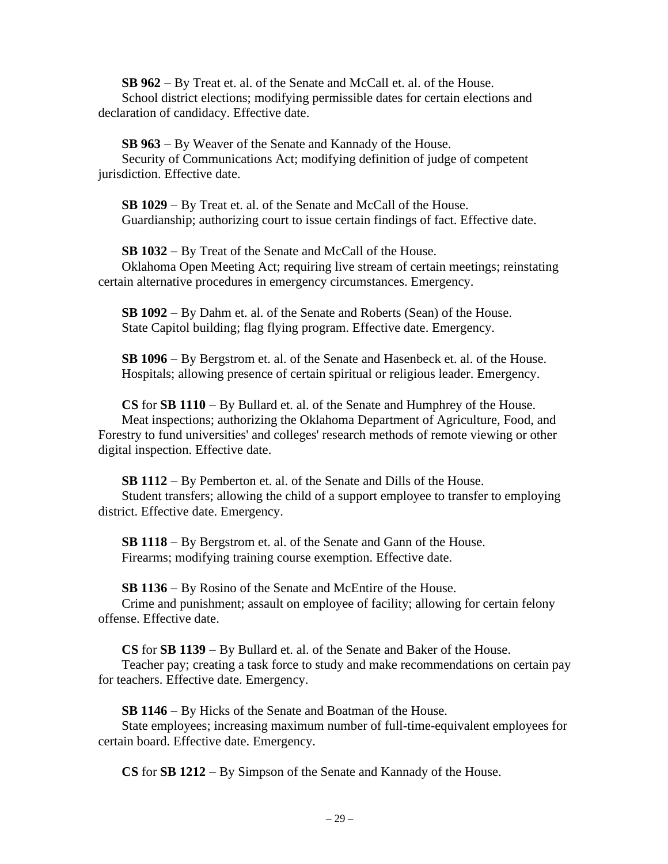**SB 962** − By Treat et. al. of the Senate and McCall et. al. of the House. School district elections; modifying permissible dates for certain elections and declaration of candidacy. Effective date.

**SB 963** − By Weaver of the Senate and Kannady of the House. Security of Communications Act; modifying definition of judge of competent jurisdiction. Effective date.

**SB 1029** − By Treat et. al. of the Senate and McCall of the House. Guardianship; authorizing court to issue certain findings of fact. Effective date.

**SB 1032** − By Treat of the Senate and McCall of the House. Oklahoma Open Meeting Act; requiring live stream of certain meetings; reinstating certain alternative procedures in emergency circumstances. Emergency.

**SB 1092** − By Dahm et. al. of the Senate and Roberts (Sean) of the House. State Capitol building; flag flying program. Effective date. Emergency.

**SB 1096** − By Bergstrom et. al. of the Senate and Hasenbeck et. al. of the House. Hospitals; allowing presence of certain spiritual or religious leader. Emergency.

**CS** for **SB 1110** − By Bullard et. al. of the Senate and Humphrey of the House. Meat inspections; authorizing the Oklahoma Department of Agriculture, Food, and Forestry to fund universities' and colleges' research methods of remote viewing or other digital inspection. Effective date.

**SB 1112** − By Pemberton et. al. of the Senate and Dills of the House. Student transfers; allowing the child of a support employee to transfer to employing district. Effective date. Emergency.

**SB 1118** − By Bergstrom et. al. of the Senate and Gann of the House. Firearms; modifying training course exemption. Effective date.

**SB 1136** − By Rosino of the Senate and McEntire of the House.

Crime and punishment; assault on employee of facility; allowing for certain felony offense. Effective date.

**CS** for **SB 1139** − By Bullard et. al. of the Senate and Baker of the House.

Teacher pay; creating a task force to study and make recommendations on certain pay for teachers. Effective date. Emergency.

**SB 1146** − By Hicks of the Senate and Boatman of the House.

State employees; increasing maximum number of full-time-equivalent employees for certain board. Effective date. Emergency.

**CS** for **SB 1212** − By Simpson of the Senate and Kannady of the House.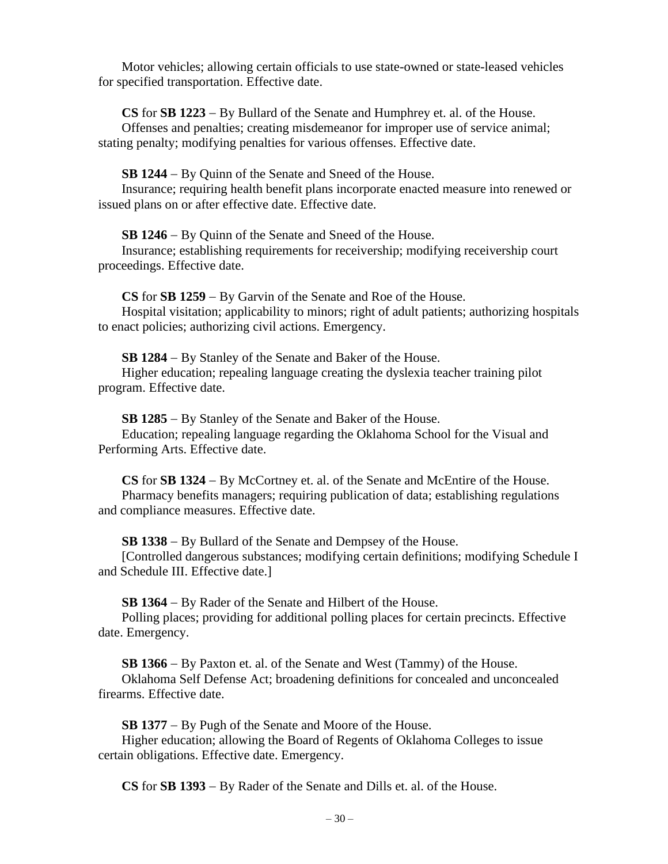Motor vehicles; allowing certain officials to use state-owned or state-leased vehicles for specified transportation. Effective date.

**CS** for **SB 1223** − By Bullard of the Senate and Humphrey et. al. of the House. Offenses and penalties; creating misdemeanor for improper use of service animal; stating penalty; modifying penalties for various offenses. Effective date.

**SB 1244** − By Quinn of the Senate and Sneed of the House.

Insurance; requiring health benefit plans incorporate enacted measure into renewed or issued plans on or after effective date. Effective date.

**SB 1246** − By Quinn of the Senate and Sneed of the House.

Insurance; establishing requirements for receivership; modifying receivership court proceedings. Effective date.

**CS** for **SB 1259** − By Garvin of the Senate and Roe of the House. Hospital visitation; applicability to minors; right of adult patients; authorizing hospitals to enact policies; authorizing civil actions. Emergency.

**SB 1284** − By Stanley of the Senate and Baker of the House. Higher education; repealing language creating the dyslexia teacher training pilot program. Effective date.

**SB 1285** − By Stanley of the Senate and Baker of the House.

Education; repealing language regarding the Oklahoma School for the Visual and Performing Arts. Effective date.

**CS** for **SB 1324** − By McCortney et. al. of the Senate and McEntire of the House. Pharmacy benefits managers; requiring publication of data; establishing regulations and compliance measures. Effective date.

**SB 1338** − By Bullard of the Senate and Dempsey of the House.

[Controlled dangerous substances; modifying certain definitions; modifying Schedule I and Schedule III. Effective date.]

**SB 1364** − By Rader of the Senate and Hilbert of the House.

Polling places; providing for additional polling places for certain precincts. Effective date. Emergency.

**SB 1366** − By Paxton et. al. of the Senate and West (Tammy) of the House.

Oklahoma Self Defense Act; broadening definitions for concealed and unconcealed firearms. Effective date.

**SB 1377** − By Pugh of the Senate and Moore of the House.

Higher education; allowing the Board of Regents of Oklahoma Colleges to issue certain obligations. Effective date. Emergency.

**CS** for **SB 1393** − By Rader of the Senate and Dills et. al. of the House.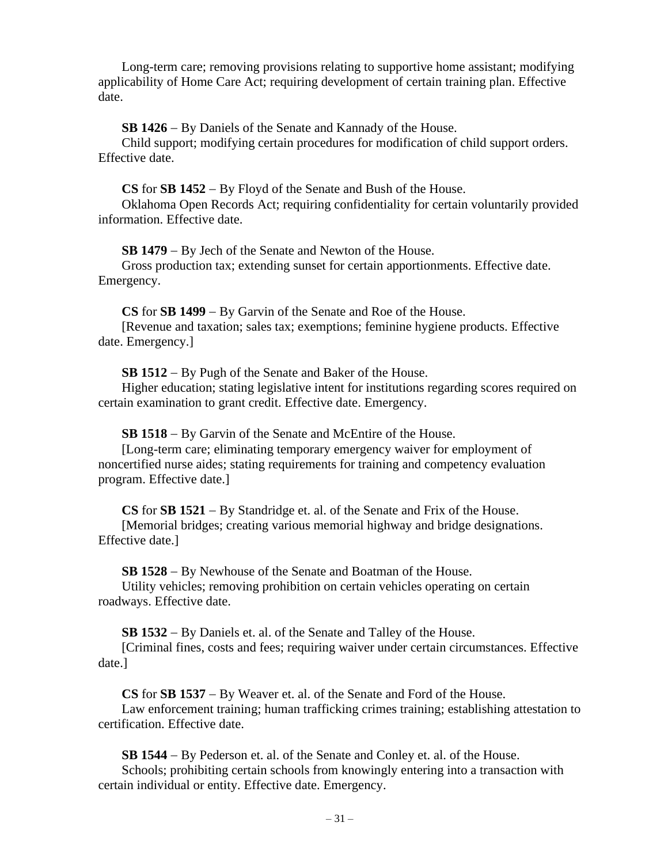Long-term care; removing provisions relating to supportive home assistant; modifying applicability of Home Care Act; requiring development of certain training plan. Effective date.

**SB 1426** − By Daniels of the Senate and Kannady of the House.

Child support; modifying certain procedures for modification of child support orders. Effective date.

**CS** for **SB 1452** − By Floyd of the Senate and Bush of the House.

Oklahoma Open Records Act; requiring confidentiality for certain voluntarily provided information. Effective date.

**SB 1479** − By Jech of the Senate and Newton of the House.

Gross production tax; extending sunset for certain apportionments. Effective date. Emergency.

**CS** for **SB 1499** − By Garvin of the Senate and Roe of the House.

[Revenue and taxation; sales tax; exemptions; feminine hygiene products. Effective date. Emergency.]

**SB 1512** − By Pugh of the Senate and Baker of the House.

Higher education; stating legislative intent for institutions regarding scores required on certain examination to grant credit. Effective date. Emergency.

**SB 1518** − By Garvin of the Senate and McEntire of the House.

[Long-term care; eliminating temporary emergency waiver for employment of noncertified nurse aides; stating requirements for training and competency evaluation program. Effective date.]

**CS** for **SB 1521** − By Standridge et. al. of the Senate and Frix of the House.

[Memorial bridges; creating various memorial highway and bridge designations. Effective date.]

**SB 1528** − By Newhouse of the Senate and Boatman of the House.

Utility vehicles; removing prohibition on certain vehicles operating on certain roadways. Effective date.

**SB 1532** − By Daniels et. al. of the Senate and Talley of the House.

[Criminal fines, costs and fees; requiring waiver under certain circumstances. Effective date.]

**CS** for **SB 1537** − By Weaver et. al. of the Senate and Ford of the House.

Law enforcement training; human trafficking crimes training; establishing attestation to certification. Effective date.

**SB 1544** − By Pederson et. al. of the Senate and Conley et. al. of the House. Schools; prohibiting certain schools from knowingly entering into a transaction with certain individual or entity. Effective date. Emergency.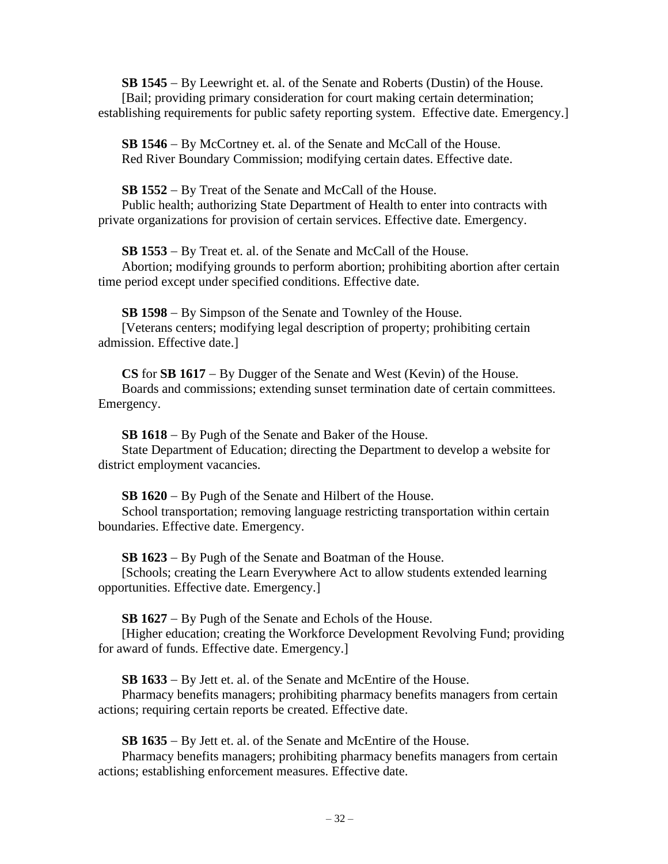**SB 1545** − By Leewright et. al. of the Senate and Roberts (Dustin) of the House. [Bail; providing primary consideration for court making certain determination; establishing requirements for public safety reporting system. Effective date. Emergency.]

**SB 1546** − By McCortney et. al. of the Senate and McCall of the House. Red River Boundary Commission; modifying certain dates. Effective date.

**SB 1552** − By Treat of the Senate and McCall of the House.

Public health; authorizing State Department of Health to enter into contracts with private organizations for provision of certain services. Effective date. Emergency.

**SB 1553** − By Treat et. al. of the Senate and McCall of the House.

Abortion; modifying grounds to perform abortion; prohibiting abortion after certain time period except under specified conditions. Effective date.

**SB 1598** − By Simpson of the Senate and Townley of the House. [Veterans centers; modifying legal description of property; prohibiting certain admission. Effective date.]

**CS** for **SB 1617** − By Dugger of the Senate and West (Kevin) of the House. Boards and commissions; extending sunset termination date of certain committees. Emergency.

**SB 1618** − By Pugh of the Senate and Baker of the House.

State Department of Education; directing the Department to develop a website for district employment vacancies.

**SB 1620** − By Pugh of the Senate and Hilbert of the House.

School transportation; removing language restricting transportation within certain boundaries. Effective date. Emergency.

**SB 1623** − By Pugh of the Senate and Boatman of the House.

[Schools; creating the Learn Everywhere Act to allow students extended learning opportunities. Effective date. Emergency.]

**SB 1627** − By Pugh of the Senate and Echols of the House.

[Higher education; creating the Workforce Development Revolving Fund; providing for award of funds. Effective date. Emergency.]

**SB 1633** − By Jett et. al. of the Senate and McEntire of the House.

Pharmacy benefits managers; prohibiting pharmacy benefits managers from certain actions; requiring certain reports be created. Effective date.

**SB 1635** − By Jett et. al. of the Senate and McEntire of the House.

Pharmacy benefits managers; prohibiting pharmacy benefits managers from certain actions; establishing enforcement measures. Effective date.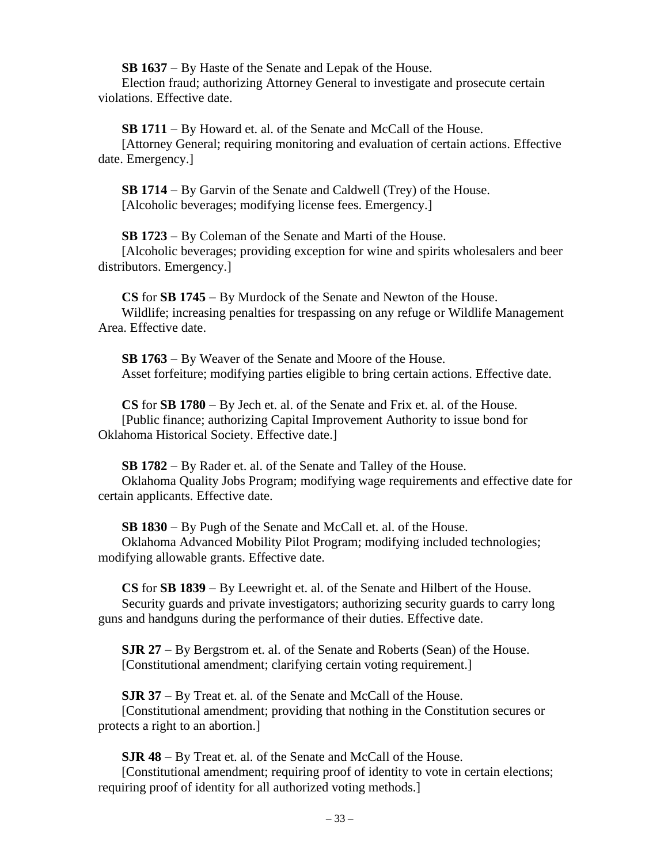**SB 1637** − By Haste of the Senate and Lepak of the House.

Election fraud; authorizing Attorney General to investigate and prosecute certain violations. Effective date.

**SB 1711** − By Howard et. al. of the Senate and McCall of the House.

[Attorney General; requiring monitoring and evaluation of certain actions. Effective date. Emergency.]

**SB 1714** − By Garvin of the Senate and Caldwell (Trey) of the House. [Alcoholic beverages; modifying license fees. Emergency.]

**SB 1723** − By Coleman of the Senate and Marti of the House.

[Alcoholic beverages; providing exception for wine and spirits wholesalers and beer distributors. Emergency.]

**CS** for **SB 1745** − By Murdock of the Senate and Newton of the House. Wildlife; increasing penalties for trespassing on any refuge or Wildlife Management Area. Effective date.

**SB 1763** − By Weaver of the Senate and Moore of the House. Asset forfeiture; modifying parties eligible to bring certain actions. Effective date.

**CS** for **SB 1780** − By Jech et. al. of the Senate and Frix et. al. of the House. [Public finance; authorizing Capital Improvement Authority to issue bond for Oklahoma Historical Society. Effective date.]

**SB 1782** − By Rader et. al. of the Senate and Talley of the House. Oklahoma Quality Jobs Program; modifying wage requirements and effective date for certain applicants. Effective date.

**SB 1830** − By Pugh of the Senate and McCall et. al. of the House. Oklahoma Advanced Mobility Pilot Program; modifying included technologies; modifying allowable grants. Effective date.

**CS** for **SB 1839** − By Leewright et. al. of the Senate and Hilbert of the House. Security guards and private investigators; authorizing security guards to carry long guns and handguns during the performance of their duties. Effective date.

**SJR 27** − By Bergstrom et. al. of the Senate and Roberts (Sean) of the House. [Constitutional amendment; clarifying certain voting requirement.]

**SJR 37** − By Treat et. al. of the Senate and McCall of the House. [Constitutional amendment; providing that nothing in the Constitution secures or protects a right to an abortion.]

**SJR 48** − By Treat et. al. of the Senate and McCall of the House. [Constitutional amendment; requiring proof of identity to vote in certain elections; requiring proof of identity for all authorized voting methods.]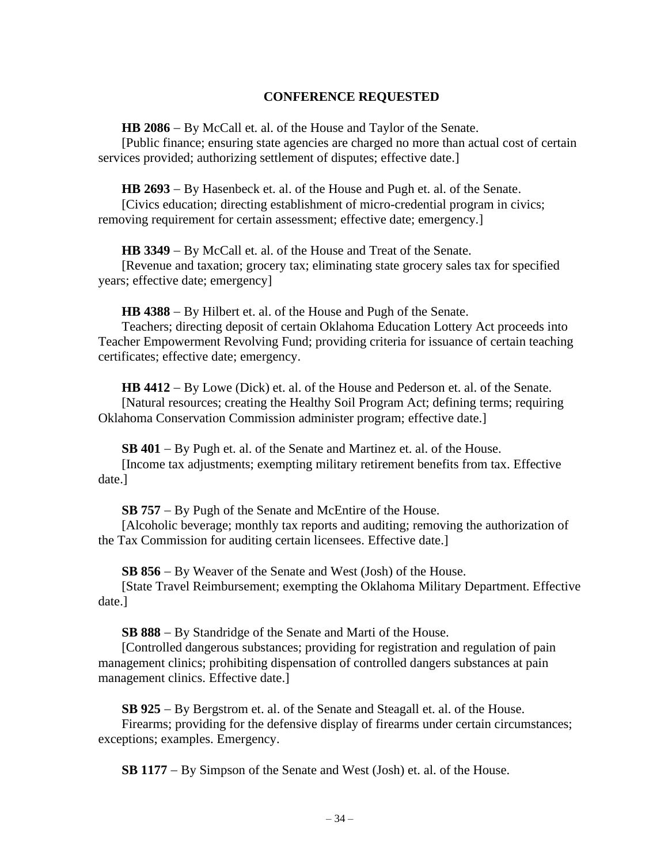### **CONFERENCE REQUESTED**

**HB 2086** − By McCall et. al. of the House and Taylor of the Senate.

[Public finance; ensuring state agencies are charged no more than actual cost of certain services provided; authorizing settlement of disputes; effective date.]

**HB 2693** − By Hasenbeck et. al. of the House and Pugh et. al. of the Senate.

[Civics education; directing establishment of micro-credential program in civics; removing requirement for certain assessment; effective date; emergency.]

**HB 3349** − By McCall et. al. of the House and Treat of the Senate.

[Revenue and taxation; grocery tax; eliminating state grocery sales tax for specified years; effective date; emergency]

**HB 4388** − By Hilbert et. al. of the House and Pugh of the Senate.

Teachers; directing deposit of certain Oklahoma Education Lottery Act proceeds into Teacher Empowerment Revolving Fund; providing criteria for issuance of certain teaching certificates; effective date; emergency.

**HB 4412** − By Lowe (Dick) et. al. of the House and Pederson et. al. of the Senate. [Natural resources; creating the Healthy Soil Program Act; defining terms; requiring Oklahoma Conservation Commission administer program; effective date.]

**SB 401** − By Pugh et. al. of the Senate and Martinez et. al. of the House. [Income tax adjustments; exempting military retirement benefits from tax. Effective date.]

**SB 757** − By Pugh of the Senate and McEntire of the House.

[Alcoholic beverage; monthly tax reports and auditing; removing the authorization of the Tax Commission for auditing certain licensees. Effective date.]

**SB 856** − By Weaver of the Senate and West (Josh) of the House.

[State Travel Reimbursement; exempting the Oklahoma Military Department. Effective date.]

**SB 888** − By Standridge of the Senate and Marti of the House.

[Controlled dangerous substances; providing for registration and regulation of pain management clinics; prohibiting dispensation of controlled dangers substances at pain management clinics. Effective date.]

**SB 925** − By Bergstrom et. al. of the Senate and Steagall et. al. of the House. Firearms; providing for the defensive display of firearms under certain circumstances; exceptions; examples. Emergency.

**SB 1177** − By Simpson of the Senate and West (Josh) et. al. of the House.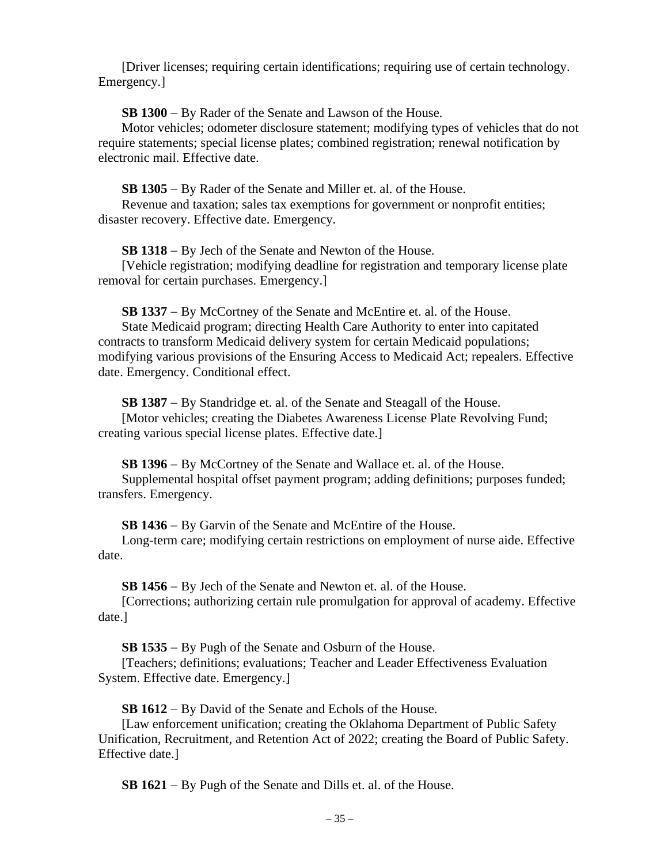[Driver licenses; requiring certain identifications; requiring use of certain technology. Emergency.]

**SB 1300** − By Rader of the Senate and Lawson of the House.

Motor vehicles; odometer disclosure statement; modifying types of vehicles that do not require statements; special license plates; combined registration; renewal notification by electronic mail. Effective date.

**SB 1305** − By Rader of the Senate and Miller et. al. of the House.

Revenue and taxation; sales tax exemptions for government or nonprofit entities; disaster recovery. Effective date. Emergency.

**SB 1318** − By Jech of the Senate and Newton of the House.

[Vehicle registration; modifying deadline for registration and temporary license plate removal for certain purchases. Emergency.]

**SB 1337** − By McCortney of the Senate and McEntire et. al. of the House.

State Medicaid program; directing Health Care Authority to enter into capitated contracts to transform Medicaid delivery system for certain Medicaid populations; modifying various provisions of the Ensuring Access to Medicaid Act; repealers. Effective date. Emergency. Conditional effect.

**SB 1387** − By Standridge et. al. of the Senate and Steagall of the House. [Motor vehicles; creating the Diabetes Awareness License Plate Revolving Fund; creating various special license plates. Effective date.]

**SB 1396** − By McCortney of the Senate and Wallace et. al. of the House. Supplemental hospital offset payment program; adding definitions; purposes funded; transfers. Emergency.

**SB 1436** − By Garvin of the Senate and McEntire of the House.

Long-term care; modifying certain restrictions on employment of nurse aide. Effective date.

**SB 1456** − By Jech of the Senate and Newton et. al. of the House.

[Corrections; authorizing certain rule promulgation for approval of academy. Effective date.]

**SB 1535** − By Pugh of the Senate and Osburn of the House.

[Teachers; definitions; evaluations; Teacher and Leader Effectiveness Evaluation System. Effective date. Emergency.]

**SB 1612** − By David of the Senate and Echols of the House.

[Law enforcement unification; creating the Oklahoma Department of Public Safety Unification, Recruitment, and Retention Act of 2022; creating the Board of Public Safety. Effective date.]

**SB 1621** − By Pugh of the Senate and Dills et. al. of the House.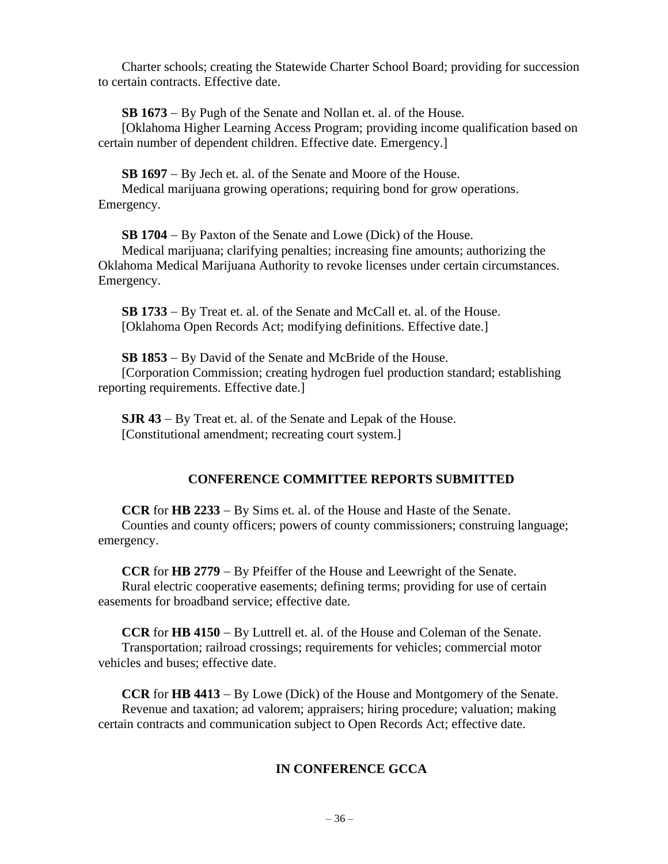Charter schools; creating the Statewide Charter School Board; providing for succession to certain contracts. Effective date.

**SB 1673** − By Pugh of the Senate and Nollan et. al. of the House.

[Oklahoma Higher Learning Access Program; providing income qualification based on certain number of dependent children. Effective date. Emergency.]

**SB 1697** − By Jech et. al. of the Senate and Moore of the House.

Medical marijuana growing operations; requiring bond for grow operations. Emergency.

**SB 1704** − By Paxton of the Senate and Lowe (Dick) of the House.

Medical marijuana; clarifying penalties; increasing fine amounts; authorizing the Oklahoma Medical Marijuana Authority to revoke licenses under certain circumstances. Emergency.

**SB 1733** − By Treat et. al. of the Senate and McCall et. al. of the House. [Oklahoma Open Records Act; modifying definitions. Effective date.]

**SB 1853** − By David of the Senate and McBride of the House. [Corporation Commission; creating hydrogen fuel production standard; establishing reporting requirements. Effective date.]

**SJR 43** − By Treat et. al. of the Senate and Lepak of the House. [Constitutional amendment; recreating court system.]

# **CONFERENCE COMMITTEE REPORTS SUBMITTED**

**CCR** for **HB 2233** − By Sims et. al. of the House and Haste of the Senate. Counties and county officers; powers of county commissioners; construing language; emergency.

**CCR** for **HB 2779** − By Pfeiffer of the House and Leewright of the Senate. Rural electric cooperative easements; defining terms; providing for use of certain easements for broadband service; effective date.

**CCR** for **HB 4150** − By Luttrell et. al. of the House and Coleman of the Senate. Transportation; railroad crossings; requirements for vehicles; commercial motor vehicles and buses; effective date.

**CCR** for **HB 4413** − By Lowe (Dick) of the House and Montgomery of the Senate. Revenue and taxation; ad valorem; appraisers; hiring procedure; valuation; making certain contracts and communication subject to Open Records Act; effective date.

# **IN CONFERENCE GCCA**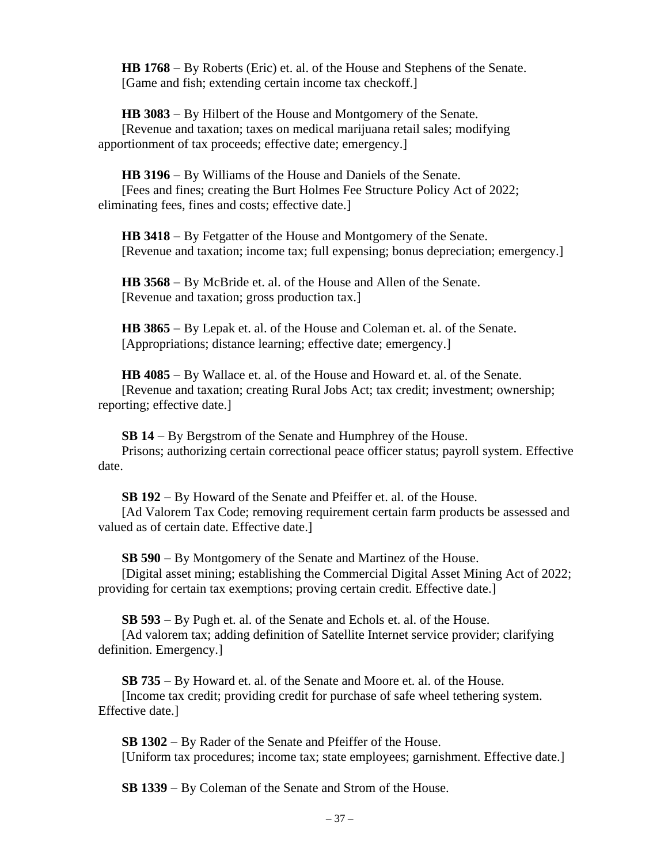**HB 1768** − By Roberts (Eric) et. al. of the House and Stephens of the Senate. [Game and fish; extending certain income tax checkoff.]

**HB 3083** − By Hilbert of the House and Montgomery of the Senate. [Revenue and taxation; taxes on medical marijuana retail sales; modifying apportionment of tax proceeds; effective date; emergency.]

**HB 3196** − By Williams of the House and Daniels of the Senate. [Fees and fines; creating the Burt Holmes Fee Structure Policy Act of 2022; eliminating fees, fines and costs; effective date.]

**HB 3418** − By Fetgatter of the House and Montgomery of the Senate. [Revenue and taxation; income tax; full expensing; bonus depreciation; emergency.]

**HB 3568** − By McBride et. al. of the House and Allen of the Senate. [Revenue and taxation; gross production tax.]

**HB 3865** − By Lepak et. al. of the House and Coleman et. al. of the Senate. [Appropriations; distance learning; effective date; emergency.]

**HB 4085** − By Wallace et. al. of the House and Howard et. al. of the Senate. [Revenue and taxation; creating Rural Jobs Act; tax credit; investment; ownership; reporting; effective date.]

**SB 14** − By Bergstrom of the Senate and Humphrey of the House.

Prisons; authorizing certain correctional peace officer status; payroll system. Effective date.

**SB 192** − By Howard of the Senate and Pfeiffer et. al. of the House.

[Ad Valorem Tax Code; removing requirement certain farm products be assessed and valued as of certain date. Effective date.]

**SB 590** − By Montgomery of the Senate and Martinez of the House. [Digital asset mining; establishing the Commercial Digital Asset Mining Act of 2022; providing for certain tax exemptions; proving certain credit. Effective date.]

**SB 593** − By Pugh et. al. of the Senate and Echols et. al. of the House.

[Ad valorem tax; adding definition of Satellite Internet service provider; clarifying definition. Emergency.]

**SB 735** − By Howard et. al. of the Senate and Moore et. al. of the House. [Income tax credit; providing credit for purchase of safe wheel tethering system. Effective date.]

**SB 1302** − By Rader of the Senate and Pfeiffer of the House. [Uniform tax procedures; income tax; state employees; garnishment. Effective date.]

**SB 1339** − By Coleman of the Senate and Strom of the House.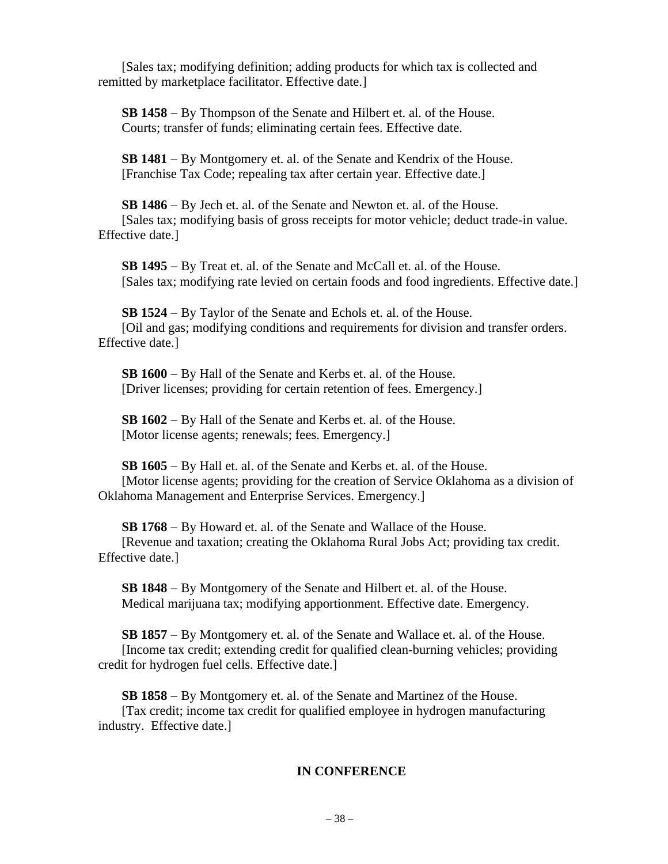[Sales tax; modifying definition; adding products for which tax is collected and remitted by marketplace facilitator. Effective date.]

**SB 1458** − By Thompson of the Senate and Hilbert et. al. of the House. Courts; transfer of funds; eliminating certain fees. Effective date.

**SB 1481** − By Montgomery et. al. of the Senate and Kendrix of the House. [Franchise Tax Code; repealing tax after certain year. Effective date.]

**SB 1486** − By Jech et. al. of the Senate and Newton et. al. of the House. [Sales tax; modifying basis of gross receipts for motor vehicle; deduct trade-in value. Effective date.]

**SB 1495** − By Treat et. al. of the Senate and McCall et. al. of the House. [Sales tax; modifying rate levied on certain foods and food ingredients. Effective date.]

**SB 1524** − By Taylor of the Senate and Echols et. al. of the House. [Oil and gas; modifying conditions and requirements for division and transfer orders. Effective date.]

**SB 1600** − By Hall of the Senate and Kerbs et. al. of the House. [Driver licenses; providing for certain retention of fees. Emergency.]

**SB 1602** − By Hall of the Senate and Kerbs et. al. of the House. [Motor license agents; renewals; fees. Emergency.]

**SB 1605** − By Hall et. al. of the Senate and Kerbs et. al. of the House. [Motor license agents; providing for the creation of Service Oklahoma as a division of Oklahoma Management and Enterprise Services. Emergency.]

**SB 1768** − By Howard et. al. of the Senate and Wallace of the House. [Revenue and taxation; creating the Oklahoma Rural Jobs Act; providing tax credit. Effective date.]

**SB 1848** − By Montgomery of the Senate and Hilbert et. al. of the House. Medical marijuana tax; modifying apportionment. Effective date. Emergency.

**SB 1857** − By Montgomery et. al. of the Senate and Wallace et. al. of the House. [Income tax credit; extending credit for qualified clean-burning vehicles; providing credit for hydrogen fuel cells. Effective date.]

**SB 1858** − By Montgomery et. al. of the Senate and Martinez of the House. [Tax credit; income tax credit for qualified employee in hydrogen manufacturing industry. Effective date.]

# **IN CONFERENCE**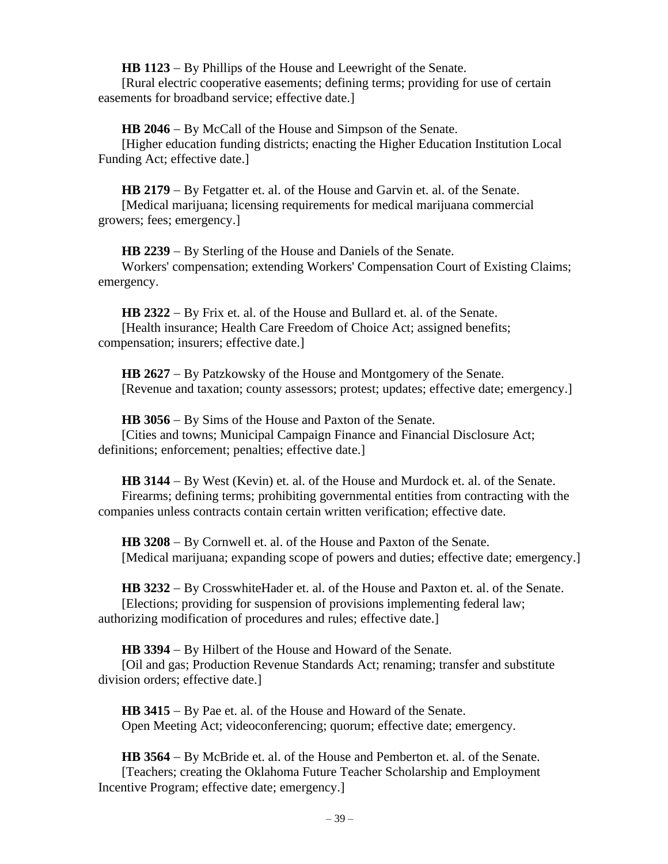**HB 1123** − By Phillips of the House and Leewright of the Senate. [Rural electric cooperative easements; defining terms; providing for use of certain easements for broadband service; effective date.]

**HB 2046** − By McCall of the House and Simpson of the Senate.

[Higher education funding districts; enacting the Higher Education Institution Local Funding Act; effective date.]

**HB 2179** − By Fetgatter et. al. of the House and Garvin et. al. of the Senate. [Medical marijuana; licensing requirements for medical marijuana commercial growers; fees; emergency.]

**HB 2239** − By Sterling of the House and Daniels of the Senate. Workers' compensation; extending Workers' Compensation Court of Existing Claims; emergency.

**HB 2322** − By Frix et. al. of the House and Bullard et. al. of the Senate. [Health insurance; Health Care Freedom of Choice Act; assigned benefits; compensation; insurers; effective date.]

**HB 2627** − By Patzkowsky of the House and Montgomery of the Senate. [Revenue and taxation; county assessors; protest; updates; effective date; emergency.]

**HB 3056** − By Sims of the House and Paxton of the Senate. [Cities and towns; Municipal Campaign Finance and Financial Disclosure Act; definitions; enforcement; penalties; effective date.]

**HB 3144** − By West (Kevin) et. al. of the House and Murdock et. al. of the Senate. Firearms; defining terms; prohibiting governmental entities from contracting with the companies unless contracts contain certain written verification; effective date.

**HB 3208** − By Cornwell et. al. of the House and Paxton of the Senate. [Medical marijuana; expanding scope of powers and duties; effective date; emergency.]

**HB 3232** − By CrosswhiteHader et. al. of the House and Paxton et. al. of the Senate. [Elections; providing for suspension of provisions implementing federal law; authorizing modification of procedures and rules; effective date.]

**HB 3394** − By Hilbert of the House and Howard of the Senate.

[Oil and gas; Production Revenue Standards Act; renaming; transfer and substitute division orders; effective date.]

**HB 3415** − By Pae et. al. of the House and Howard of the Senate. Open Meeting Act; videoconferencing; quorum; effective date; emergency.

**HB 3564** − By McBride et. al. of the House and Pemberton et. al. of the Senate. [Teachers; creating the Oklahoma Future Teacher Scholarship and Employment Incentive Program; effective date; emergency.]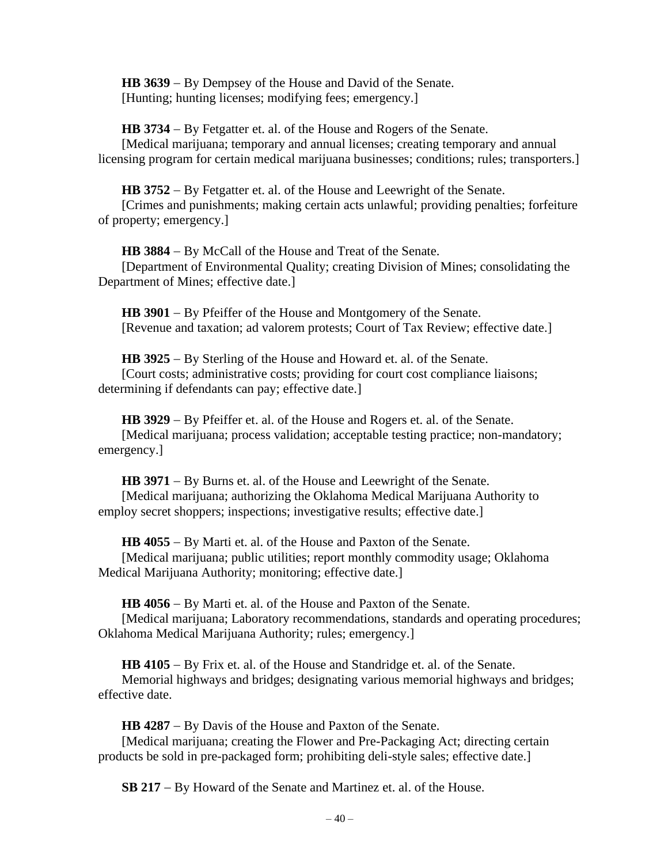**HB 3639** − By Dempsey of the House and David of the Senate. [Hunting; hunting licenses; modifying fees; emergency.]

**HB 3734** − By Fetgatter et. al. of the House and Rogers of the Senate. [Medical marijuana; temporary and annual licenses; creating temporary and annual licensing program for certain medical marijuana businesses; conditions; rules; transporters.]

**HB 3752** − By Fetgatter et. al. of the House and Leewright of the Senate.

[Crimes and punishments; making certain acts unlawful; providing penalties; forfeiture of property; emergency.]

**HB 3884** − By McCall of the House and Treat of the Senate. [Department of Environmental Quality; creating Division of Mines; consolidating the Department of Mines; effective date.]

**HB 3901** − By Pfeiffer of the House and Montgomery of the Senate. [Revenue and taxation; ad valorem protests; Court of Tax Review; effective date.]

**HB 3925** − By Sterling of the House and Howard et. al. of the Senate.

[Court costs; administrative costs; providing for court cost compliance liaisons; determining if defendants can pay; effective date.]

**HB 3929** − By Pfeiffer et. al. of the House and Rogers et. al. of the Senate.

[Medical marijuana; process validation; acceptable testing practice; non-mandatory; emergency.]

**HB 3971** − By Burns et. al. of the House and Leewright of the Senate.

[Medical marijuana; authorizing the Oklahoma Medical Marijuana Authority to employ secret shoppers; inspections; investigative results; effective date.

**HB 4055** − By Marti et. al. of the House and Paxton of the Senate.

[Medical marijuana; public utilities; report monthly commodity usage; Oklahoma Medical Marijuana Authority; monitoring; effective date.]

**HB 4056** − By Marti et. al. of the House and Paxton of the Senate.

[Medical marijuana; Laboratory recommendations, standards and operating procedures; Oklahoma Medical Marijuana Authority; rules; emergency.]

**HB 4105** − By Frix et. al. of the House and Standridge et. al. of the Senate.

Memorial highways and bridges; designating various memorial highways and bridges; effective date.

**HB 4287** − By Davis of the House and Paxton of the Senate.

[Medical marijuana; creating the Flower and Pre-Packaging Act; directing certain products be sold in pre-packaged form; prohibiting deli-style sales; effective date.]

**SB 217** − By Howard of the Senate and Martinez et. al. of the House.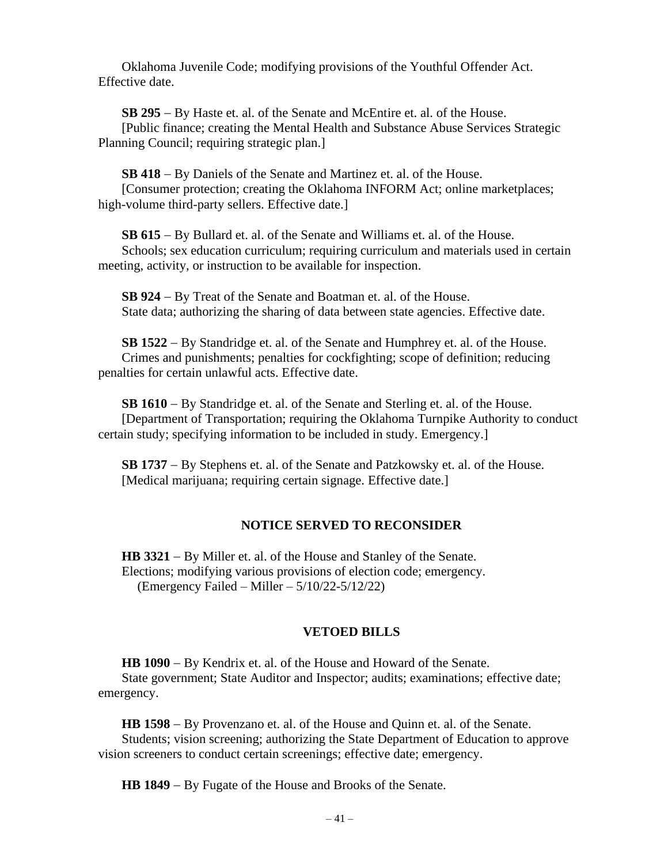Oklahoma Juvenile Code; modifying provisions of the Youthful Offender Act. Effective date.

**SB 295** − By Haste et. al. of the Senate and McEntire et. al. of the House. [Public finance; creating the Mental Health and Substance Abuse Services Strategic Planning Council; requiring strategic plan.]

**SB 418** − By Daniels of the Senate and Martinez et. al. of the House.

[Consumer protection; creating the Oklahoma INFORM Act; online marketplaces; high-volume third-party sellers. Effective date.

**SB 615** − By Bullard et. al. of the Senate and Williams et. al. of the House. Schools; sex education curriculum; requiring curriculum and materials used in certain meeting, activity, or instruction to be available for inspection.

**SB 924** − By Treat of the Senate and Boatman et. al. of the House. State data; authorizing the sharing of data between state agencies. Effective date.

**SB 1522** − By Standridge et. al. of the Senate and Humphrey et. al. of the House. Crimes and punishments; penalties for cockfighting; scope of definition; reducing penalties for certain unlawful acts. Effective date.

**SB 1610** − By Standridge et. al. of the Senate and Sterling et. al. of the House. [Department of Transportation; requiring the Oklahoma Turnpike Authority to conduct certain study; specifying information to be included in study. Emergency.]

**SB 1737** − By Stephens et. al. of the Senate and Patzkowsky et. al. of the House. [Medical marijuana; requiring certain signage. Effective date.]

### **NOTICE SERVED TO RECONSIDER**

**HB 3321** − By Miller et. al. of the House and Stanley of the Senate. Elections; modifying various provisions of election code; emergency. (Emergency Failed – Miller – 5/10/22-5/12/22)

### **VETOED BILLS**

**HB 1090** − By Kendrix et. al. of the House and Howard of the Senate.

State government; State Auditor and Inspector; audits; examinations; effective date; emergency.

**HB 1598** − By Provenzano et. al. of the House and Quinn et. al. of the Senate. Students; vision screening; authorizing the State Department of Education to approve vision screeners to conduct certain screenings; effective date; emergency.

**HB 1849** − By Fugate of the House and Brooks of the Senate.